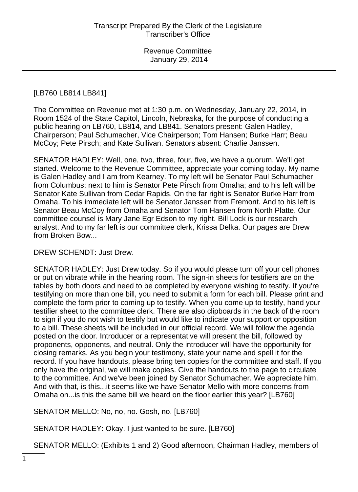### [LB760 LB814 LB841]

The Committee on Revenue met at 1:30 p.m. on Wednesday, January 22, 2014, in Room 1524 of the State Capitol, Lincoln, Nebraska, for the purpose of conducting a public hearing on LB760, LB814, and LB841. Senators present: Galen Hadley, Chairperson; Paul Schumacher, Vice Chairperson; Tom Hansen; Burke Harr; Beau McCoy; Pete Pirsch; and Kate Sullivan. Senators absent: Charlie Janssen.

SENATOR HADLEY: Well, one, two, three, four, five, we have a quorum. We'll get started. Welcome to the Revenue Committee, appreciate your coming today. My name is Galen Hadley and I am from Kearney. To my left will be Senator Paul Schumacher from Columbus; next to him is Senator Pete Pirsch from Omaha; and to his left will be Senator Kate Sullivan from Cedar Rapids. On the far right is Senator Burke Harr from Omaha. To his immediate left will be Senator Janssen from Fremont. And to his left is Senator Beau McCoy from Omaha and Senator Tom Hansen from North Platte. Our committee counsel is Mary Jane Egr Edson to my right. Bill Lock is our research analyst. And to my far left is our committee clerk, Krissa Delka. Our pages are Drew from Broken Bow...

DREW SCHENDT: Just Drew.

SENATOR HADLEY: Just Drew today. So if you would please turn off your cell phones or put on vibrate while in the hearing room. The sign-in sheets for testifiers are on the tables by both doors and need to be completed by everyone wishing to testify. If you're testifying on more than one bill, you need to submit a form for each bill. Please print and complete the form prior to coming up to testify. When you come up to testify, hand your testifier sheet to the committee clerk. There are also clipboards in the back of the room to sign if you do not wish to testify but would like to indicate your support or opposition to a bill. These sheets will be included in our official record. We will follow the agenda posted on the door. Introducer or a representative will present the bill, followed by proponents, opponents, and neutral. Only the introducer will have the opportunity for closing remarks. As you begin your testimony, state your name and spell it for the record. If you have handouts, please bring ten copies for the committee and staff. If you only have the original, we will make copies. Give the handouts to the page to circulate to the committee. And we've been joined by Senator Schumacher. We appreciate him. And with that, is this...it seems like we have Senator Mello with more concerns from Omaha on...is this the same bill we heard on the floor earlier this year? [LB760]

SENATOR MELLO: No, no, no. Gosh, no. [LB760]

SENATOR HADLEY: Okay. I just wanted to be sure. [LB760]

SENATOR MELLO: (Exhibits 1 and 2) Good afternoon, Chairman Hadley, members of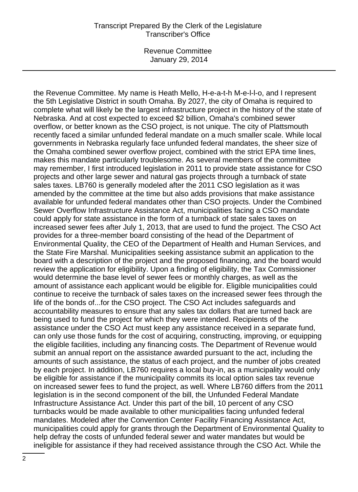Revenue Committee January 29, 2014

the Revenue Committee. My name is Heath Mello, H-e-a-t-h M-e-l-l-o, and I represent the 5th Legislative District in south Omaha. By 2027, the city of Omaha is required to complete what will likely be the largest infrastructure project in the history of the state of Nebraska. And at cost expected to exceed \$2 billion, Omaha's combined sewer overflow, or better known as the CSO project, is not unique. The city of Plattsmouth recently faced a similar unfunded federal mandate on a much smaller scale. While local governments in Nebraska regularly face unfunded federal mandates, the sheer size of the Omaha combined sewer overflow project, combined with the strict EPA time lines, makes this mandate particularly troublesome. As several members of the committee may remember, I first introduced legislation in 2011 to provide state assistance for CSO projects and other large sewer and natural gas projects through a turnback of state sales taxes. LB760 is generally modeled after the 2011 CSO legislation as it was amended by the committee at the time but also adds provisions that make assistance available for unfunded federal mandates other than CSO projects. Under the Combined Sewer Overflow Infrastructure Assistance Act, municipalities facing a CSO mandate could apply for state assistance in the form of a turnback of state sales taxes on increased sewer fees after July 1, 2013, that are used to fund the project. The CSO Act provides for a three-member board consisting of the head of the Department of Environmental Quality, the CEO of the Department of Health and Human Services, and the State Fire Marshal. Municipalities seeking assistance submit an application to the board with a description of the project and the proposed financing, and the board would review the application for eligibility. Upon a finding of eligibility, the Tax Commissioner would determine the base level of sewer fees or monthly charges, as well as the amount of assistance each applicant would be eligible for. Eligible municipalities could continue to receive the turnback of sales taxes on the increased sewer fees through the life of the bonds of...for the CSO project. The CSO Act includes safeguards and accountability measures to ensure that any sales tax dollars that are turned back are being used to fund the project for which they were intended. Recipients of the assistance under the CSO Act must keep any assistance received in a separate fund, can only use those funds for the cost of acquiring, constructing, improving, or equipping the eligible facilities, including any financing costs. The Department of Revenue would submit an annual report on the assistance awarded pursuant to the act, including the amounts of such assistance, the status of each project, and the number of jobs created by each project. In addition, LB760 requires a local buy-in, as a municipality would only be eligible for assistance if the municipality commits its local option sales tax revenue on increased sewer fees to fund the project, as well. Where LB760 differs from the 2011 legislation is in the second component of the bill, the Unfunded Federal Mandate Infrastructure Assistance Act. Under this part of the bill, 10 percent of any CSO turnbacks would be made available to other municipalities facing unfunded federal mandates. Modeled after the Convention Center Facility Financing Assistance Act, municipalities could apply for grants through the Department of Environmental Quality to help defray the costs of unfunded federal sewer and water mandates but would be ineligible for assistance if they had received assistance through the CSO Act. While the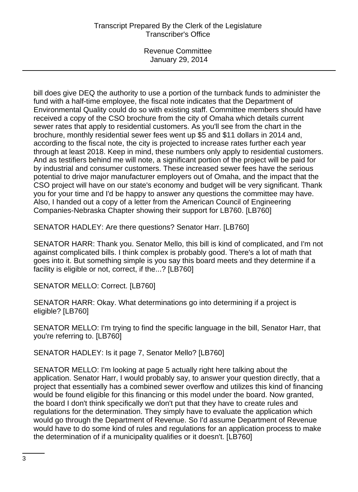Revenue Committee January 29, 2014

bill does give DEQ the authority to use a portion of the turnback funds to administer the fund with a half-time employee, the fiscal note indicates that the Department of Environmental Quality could do so with existing staff. Committee members should have received a copy of the CSO brochure from the city of Omaha which details current sewer rates that apply to residential customers. As you'll see from the chart in the brochure, monthly residential sewer fees went up \$5 and \$11 dollars in 2014 and, according to the fiscal note, the city is projected to increase rates further each year through at least 2018. Keep in mind, these numbers only apply to residential customers. And as testifiers behind me will note, a significant portion of the project will be paid for by industrial and consumer customers. These increased sewer fees have the serious potential to drive major manufacturer employers out of Omaha, and the impact that the CSO project will have on our state's economy and budget will be very significant. Thank you for your time and I'd be happy to answer any questions the committee may have. Also, I handed out a copy of a letter from the American Council of Engineering Companies-Nebraska Chapter showing their support for LB760. [LB760]

SENATOR HADLEY: Are there questions? Senator Harr. [LB760]

SENATOR HARR: Thank you. Senator Mello, this bill is kind of complicated, and I'm not against complicated bills. I think complex is probably good. There's a lot of math that goes into it. But something simple is you say this board meets and they determine if a facility is eligible or not, correct, if the...? [LB760]

SENATOR MELLO: Correct. [LB760]

SENATOR HARR: Okay. What determinations go into determining if a project is eligible? [LB760]

SENATOR MELLO: I'm trying to find the specific language in the bill, Senator Harr, that you're referring to. [LB760]

SENATOR HADLEY: Is it page 7, Senator Mello? [LB760]

SENATOR MELLO: I'm looking at page 5 actually right here talking about the application. Senator Harr, I would probably say, to answer your question directly, that a project that essentially has a combined sewer overflow and utilizes this kind of financing would be found eligible for this financing or this model under the board. Now granted, the board I don't think specifically we don't put that they have to create rules and regulations for the determination. They simply have to evaluate the application which would go through the Department of Revenue. So I'd assume Department of Revenue would have to do some kind of rules and regulations for an application process to make the determination of if a municipality qualifies or it doesn't. [LB760]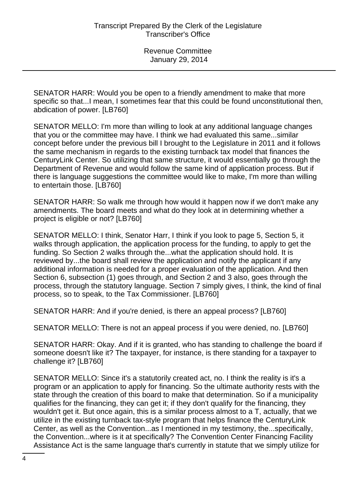SENATOR HARR: Would you be open to a friendly amendment to make that more specific so that...I mean, I sometimes fear that this could be found unconstitutional then, abdication of power. [LB760]

SENATOR MELLO: I'm more than willing to look at any additional language changes that you or the committee may have. I think we had evaluated this same...similar concept before under the previous bill I brought to the Legislature in 2011 and it follows the same mechanism in regards to the existing turnback tax model that finances the CenturyLink Center. So utilizing that same structure, it would essentially go through the Department of Revenue and would follow the same kind of application process. But if there is language suggestions the committee would like to make, I'm more than willing to entertain those. [LB760]

SENATOR HARR: So walk me through how would it happen now if we don't make any amendments. The board meets and what do they look at in determining whether a project is eligible or not? [LB760]

SENATOR MELLO: I think, Senator Harr, I think if you look to page 5, Section 5, it walks through application, the application process for the funding, to apply to get the funding. So Section 2 walks through the...what the application should hold. It is reviewed by...the board shall review the application and notify the applicant if any additional information is needed for a proper evaluation of the application. And then Section 6, subsection (1) goes through, and Section 2 and 3 also, goes through the process, through the statutory language. Section 7 simply gives, I think, the kind of final process, so to speak, to the Tax Commissioner. [LB760]

SENATOR HARR: And if you're denied, is there an appeal process? [LB760]

SENATOR MELLO: There is not an appeal process if you were denied, no. [LB760]

SENATOR HARR: Okay. And if it is granted, who has standing to challenge the board if someone doesn't like it? The taxpayer, for instance, is there standing for a taxpayer to challenge it? [LB760]

SENATOR MELLO: Since it's a statutorily created act, no. I think the reality is it's a program or an application to apply for financing. So the ultimate authority rests with the state through the creation of this board to make that determination. So if a municipality qualifies for the financing, they can get it; if they don't qualify for the financing, they wouldn't get it. But once again, this is a similar process almost to a T, actually, that we utilize in the existing turnback tax-style program that helps finance the CenturyLink Center, as well as the Convention...as I mentioned in my testimony, the...specifically, the Convention...where is it at specifically? The Convention Center Financing Facility Assistance Act is the same language that's currently in statute that we simply utilize for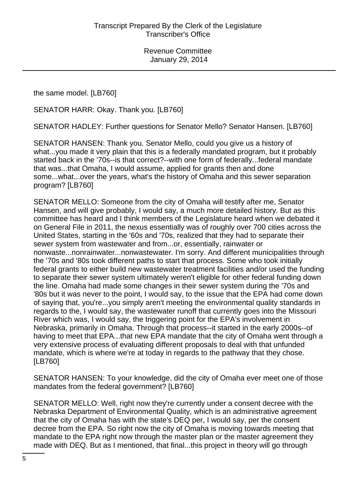the same model. [LB760]

SENATOR HARR: Okay. Thank you. [LB760]

SENATOR HADLEY: Further questions for Senator Mello? Senator Hansen. [LB760]

SENATOR HANSEN: Thank you. Senator Mello, could you give us a history of what...you made it very plain that this is a federally mandated program, but it probably started back in the '70s--is that correct?--with one form of federally...federal mandate that was...that Omaha, I would assume, applied for grants then and done some...what...over the years, what's the history of Omaha and this sewer separation program? [LB760]

SENATOR MELLO: Someone from the city of Omaha will testify after me, Senator Hansen, and will give probably, I would say, a much more detailed history. But as this committee has heard and I think members of the Legislature heard when we debated it on General File in 2011, the nexus essentially was of roughly over 700 cities across the United States, starting in the '60s and '70s, realized that they had to separate their sewer system from wastewater and from...or, essentially, rainwater or nonwaste...nonrainwater...nonwastewater. I'm sorry. And different municipalities through the '70s and '80s took different paths to start that process. Some who took initially federal grants to either build new wastewater treatment facilities and/or used the funding to separate their sewer system ultimately weren't eligible for other federal funding down the line. Omaha had made some changes in their sewer system during the '70s and '80s but it was never to the point, I would say, to the issue that the EPA had come down of saying that, you're...you simply aren't meeting the environmental quality standards in regards to the, I would say, the wastewater runoff that currently goes into the Missouri River which was, I would say, the triggering point for the EPA's involvement in Nebraska, primarily in Omaha. Through that process--it started in the early 2000s--of having to meet that EPA...that new EPA mandate that the city of Omaha went through a very extensive process of evaluating different proposals to deal with that unfunded mandate, which is where we're at today in regards to the pathway that they chose. [LB760]

SENATOR HANSEN: To your knowledge, did the city of Omaha ever meet one of those mandates from the federal government? [LB760]

SENATOR MELLO: Well, right now they're currently under a consent decree with the Nebraska Department of Environmental Quality, which is an administrative agreement that the city of Omaha has with the state's DEQ per, I would say, per the consent decree from the EPA. So right now the city of Omaha is moving towards meeting that mandate to the EPA right now through the master plan or the master agreement they made with DEQ. But as I mentioned, that final...this project in theory will go through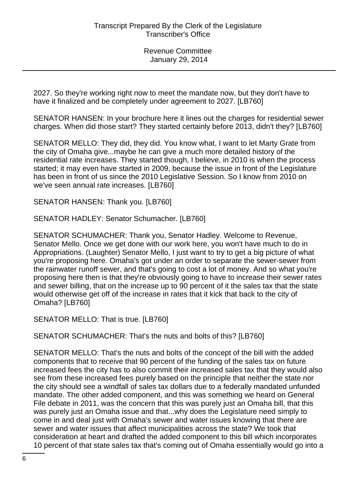2027. So they're working right now to meet the mandate now, but they don't have to have it finalized and be completely under agreement to 2027. [LB760]

SENATOR HANSEN: In your brochure here it lines out the charges for residential sewer charges. When did those start? They started certainly before 2013, didn't they? [LB760]

SENATOR MELLO: They did, they did. You know what, I want to let Marty Grate from the city of Omaha give...maybe he can give a much more detailed history of the residential rate increases. They started though, I believe, in 2010 is when the process started; it may even have started in 2009, because the issue in front of the Legislature has been in front of us since the 2010 Legislative Session. So I know from 2010 on we've seen annual rate increases. [LB760]

SENATOR HANSEN: Thank you. [LB760]

SENATOR HADLEY: Senator Schumacher. [LB760]

SENATOR SCHUMACHER: Thank you, Senator Hadley. Welcome to Revenue, Senator Mello. Once we get done with our work here, you won't have much to do in Appropriations. (Laughter) Senator Mello, I just want to try to get a big picture of what you're proposing here. Omaha's got under an order to separate the sewer-sewer from the rainwater runoff sewer, and that's going to cost a lot of money. And so what you're proposing here then is that they're obviously going to have to increase their sewer rates and sewer billing, that on the increase up to 90 percent of it the sales tax that the state would otherwise get off of the increase in rates that it kick that back to the city of Omaha? [LB760]

SENATOR MELLO: That is true. [LB760]

SENATOR SCHUMACHER: That's the nuts and bolts of this? [LB760]

SENATOR MELLO: That's the nuts and bolts of the concept of the bill with the added components that to receive that 90 percent of the funding of the sales tax on future increased fees the city has to also commit their increased sales tax that they would also see from these increased fees purely based on the principle that neither the state nor the city should see a windfall of sales tax dollars due to a federally mandated unfunded mandate. The other added component, and this was something we heard on General File debate in 2011, was the concern that this was purely just an Omaha bill, that this was purely just an Omaha issue and that...why does the Legislature need simply to come in and deal just with Omaha's sewer and water issues knowing that there are sewer and water issues that affect municipalities across the state? We took that consideration at heart and drafted the added component to this bill which incorporates 10 percent of that state sales tax that's coming out of Omaha essentially would go into a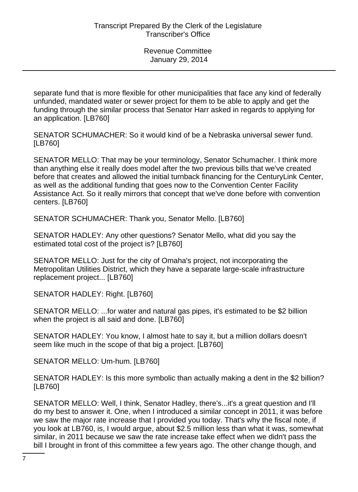separate fund that is more flexible for other municipalities that face any kind of federally unfunded, mandated water or sewer project for them to be able to apply and get the funding through the similar process that Senator Harr asked in regards to applying for an application. [LB760]

SENATOR SCHUMACHER: So it would kind of be a Nebraska universal sewer fund. [LB760]

SENATOR MELLO: That may be your terminology, Senator Schumacher. I think more than anything else it really does model after the two previous bills that we've created before that creates and allowed the initial turnback financing for the CenturyLink Center, as well as the additional funding that goes now to the Convention Center Facility Assistance Act. So it really mirrors that concept that we've done before with convention centers. [LB760]

SENATOR SCHUMACHER: Thank you, Senator Mello. [LB760]

SENATOR HADLEY: Any other questions? Senator Mello, what did you say the estimated total cost of the project is? [LB760]

SENATOR MELLO: Just for the city of Omaha's project, not incorporating the Metropolitan Utilities District, which they have a separate large-scale infrastructure replacement project... [LB760]

SENATOR HADLEY: Right. [LB760]

SENATOR MELLO: ...for water and natural gas pipes, it's estimated to be \$2 billion when the project is all said and done. [LB760]

SENATOR HADLEY: You know, I almost hate to say it, but a million dollars doesn't seem like much in the scope of that big a project. [LB760]

SENATOR MELLO: Um-hum. [LB760]

SENATOR HADLEY: Is this more symbolic than actually making a dent in the \$2 billion? [LB760]

SENATOR MELLO: Well, I think, Senator Hadley, there's...it's a great question and I'll do my best to answer it. One, when I introduced a similar concept in 2011, it was before we saw the major rate increase that I provided you today. That's why the fiscal note, if you look at LB760, is, I would argue, about \$2.5 million less than what it was, somewhat similar, in 2011 because we saw the rate increase take effect when we didn't pass the bill I brought in front of this committee a few years ago. The other change though, and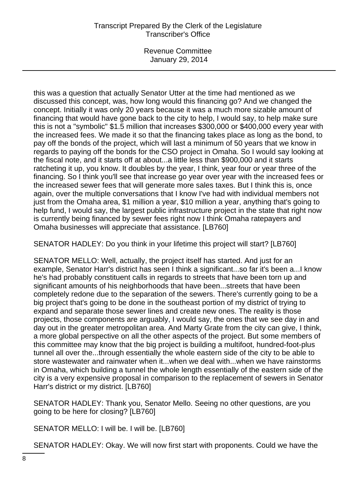Revenue Committee January 29, 2014

this was a question that actually Senator Utter at the time had mentioned as we discussed this concept, was, how long would this financing go? And we changed the concept. Initially it was only 20 years because it was a much more sizable amount of financing that would have gone back to the city to help, I would say, to help make sure this is not a "symbolic" \$1.5 million that increases \$300,000 or \$400,000 every year with the increased fees. We made it so that the financing takes place as long as the bond, to pay off the bonds of the project, which will last a minimum of 50 years that we know in regards to paying off the bonds for the CSO project in Omaha. So I would say looking at the fiscal note, and it starts off at about...a little less than \$900,000 and it starts ratcheting it up, you know. It doubles by the year, I think, year four or year three of the financing. So I think you'll see that increase go year over year with the increased fees or the increased sewer fees that will generate more sales taxes. But I think this is, once again, over the multiple conversations that I know I've had with individual members not just from the Omaha area, \$1 million a year, \$10 million a year, anything that's going to help fund, I would say, the largest public infrastructure project in the state that right now is currently being financed by sewer fees right now I think Omaha ratepayers and Omaha businesses will appreciate that assistance. [LB760]

SENATOR HADLEY: Do you think in your lifetime this project will start? [LB760]

SENATOR MELLO: Well, actually, the project itself has started. And just for an example, Senator Harr's district has seen I think a significant...so far it's been a...I know he's had probably constituent calls in regards to streets that have been torn up and significant amounts of his neighborhoods that have been...streets that have been completely redone due to the separation of the sewers. There's currently going to be a big project that's going to be done in the southeast portion of my district of trying to expand and separate those sewer lines and create new ones. The reality is those projects, those components are arguably, I would say, the ones that we see day in and day out in the greater metropolitan area. And Marty Grate from the city can give, I think, a more global perspective on all the other aspects of the project. But some members of this committee may know that the big project is building a multifoot, hundred-foot-plus tunnel all over the...through essentially the whole eastern side of the city to be able to store wastewater and rainwater when it...when we deal with...when we have rainstorms in Omaha, which building a tunnel the whole length essentially of the eastern side of the city is a very expensive proposal in comparison to the replacement of sewers in Senator Harr's district or my district. [LB760]

SENATOR HADLEY: Thank you, Senator Mello. Seeing no other questions, are you going to be here for closing? [LB760]

SENATOR MELLO: I will be. I will be. [LB760]

SENATOR HADLEY: Okay. We will now first start with proponents. Could we have the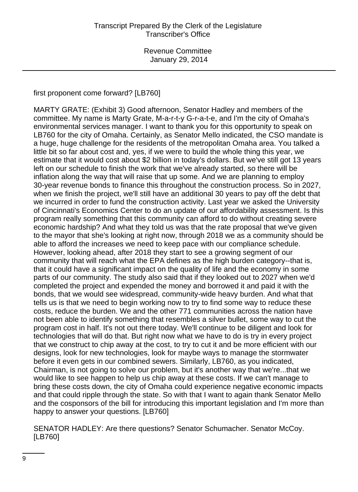first proponent come forward? [LB760]

MARTY GRATE: (Exhibit 3) Good afternoon, Senator Hadley and members of the committee. My name is Marty Grate, M-a-r-t-y G-r-a-t-e, and I'm the city of Omaha's environmental services manager. I want to thank you for this opportunity to speak on LB760 for the city of Omaha. Certainly, as Senator Mello indicated, the CSO mandate is a huge, huge challenge for the residents of the metropolitan Omaha area. You talked a little bit so far about cost and, yes, if we were to build the whole thing this year, we estimate that it would cost about \$2 billion in today's dollars. But we've still got 13 years left on our schedule to finish the work that we've already started, so there will be inflation along the way that will raise that up some. And we are planning to employ 30-year revenue bonds to finance this throughout the construction process. So in 2027, when we finish the project, we'll still have an additional 30 years to pay off the debt that we incurred in order to fund the construction activity. Last year we asked the University of Cincinnati's Economics Center to do an update of our affordability assessment. Is this program really something that this community can afford to do without creating severe economic hardship? And what they told us was that the rate proposal that we've given to the mayor that she's looking at right now, through 2018 we as a community should be able to afford the increases we need to keep pace with our compliance schedule. However, looking ahead, after 2018 they start to see a growing segment of our community that will reach what the EPA defines as the high burden category--that is, that it could have a significant impact on the quality of life and the economy in some parts of our community. The study also said that if they looked out to 2027 when we'd completed the project and expended the money and borrowed it and paid it with the bonds, that we would see widespread, community-wide heavy burden. And what that tells us is that we need to begin working now to try to find some way to reduce these costs, reduce the burden. We and the other 771 communities across the nation have not been able to identify something that resembles a silver bullet, some way to cut the program cost in half. It's not out there today. We'll continue to be diligent and look for technologies that will do that. But right now what we have to do is try in every project that we construct to chip away at the cost, to try to cut it and be more efficient with our designs, look for new technologies, look for maybe ways to manage the stormwater before it even gets in our combined sewers. Similarly, LB760, as you indicated, Chairman, is not going to solve our problem, but it's another way that we're...that we would like to see happen to help us chip away at these costs. If we can't manage to bring these costs down, the city of Omaha could experience negative economic impacts and that could ripple through the state. So with that I want to again thank Senator Mello and the cosponsors of the bill for introducing this important legislation and I'm more than happy to answer your questions. [LB760]

SENATOR HADLEY: Are there questions? Senator Schumacher. Senator McCoy. [LB760]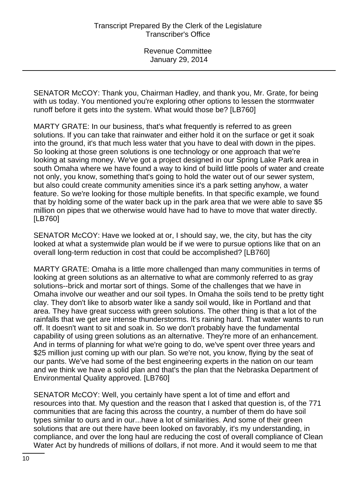SENATOR McCOY: Thank you, Chairman Hadley, and thank you, Mr. Grate, for being with us today. You mentioned you're exploring other options to lessen the stormwater runoff before it gets into the system. What would those be? [LB760]

MARTY GRATE: In our business, that's what frequently is referred to as green solutions. If you can take that rainwater and either hold it on the surface or get it soak into the ground, it's that much less water that you have to deal with down in the pipes. So looking at those green solutions is one technology or one approach that we're looking at saving money. We've got a project designed in our Spring Lake Park area in south Omaha where we have found a way to kind of build little pools of water and create not only, you know, something that's going to hold the water out of our sewer system, but also could create community amenities since it's a park setting anyhow, a water feature. So we're looking for those multiple benefits. In that specific example, we found that by holding some of the water back up in the park area that we were able to save \$5 million on pipes that we otherwise would have had to have to move that water directly. [LB760]

SENATOR McCOY: Have we looked at or, I should say, we, the city, but has the city looked at what a systemwide plan would be if we were to pursue options like that on an overall long-term reduction in cost that could be accomplished? [LB760]

MARTY GRATE: Omaha is a little more challenged than many communities in terms of looking at green solutions as an alternative to what are commonly referred to as gray solutions--brick and mortar sort of things. Some of the challenges that we have in Omaha involve our weather and our soil types. In Omaha the soils tend to be pretty tight clay. They don't like to absorb water like a sandy soil would, like in Portland and that area. They have great success with green solutions. The other thing is that a lot of the rainfalls that we get are intense thunderstorms. It's raining hard. That water wants to run off. It doesn't want to sit and soak in. So we don't probably have the fundamental capability of using green solutions as an alternative. They're more of an enhancement. And in terms of planning for what we're going to do, we've spent over three years and \$25 million just coming up with our plan. So we're not, you know, flying by the seat of our pants. We've had some of the best engineering experts in the nation on our team and we think we have a solid plan and that's the plan that the Nebraska Department of Environmental Quality approved. [LB760]

SENATOR McCOY: Well, you certainly have spent a lot of time and effort and resources into that. My question and the reason that I asked that question is, of the 771 communities that are facing this across the country, a number of them do have soil types similar to ours and in our...have a lot of similarities. And some of their green solutions that are out there have been looked on favorably, it's my understanding, in compliance, and over the long haul are reducing the cost of overall compliance of Clean Water Act by hundreds of millions of dollars, if not more. And it would seem to me that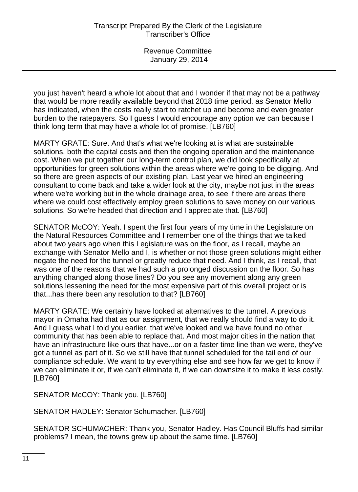you just haven't heard a whole lot about that and I wonder if that may not be a pathway that would be more readily available beyond that 2018 time period, as Senator Mello has indicated, when the costs really start to ratchet up and become and even greater burden to the ratepayers. So I guess I would encourage any option we can because I think long term that may have a whole lot of promise. [LB760]

MARTY GRATE: Sure. And that's what we're looking at is what are sustainable solutions, both the capital costs and then the ongoing operation and the maintenance cost. When we put together our long-term control plan, we did look specifically at opportunities for green solutions within the areas where we're going to be digging. And so there are green aspects of our existing plan. Last year we hired an engineering consultant to come back and take a wider look at the city, maybe not just in the areas where we're working but in the whole drainage area, to see if there are areas there where we could cost effectively employ green solutions to save money on our various solutions. So we're headed that direction and I appreciate that. [LB760]

SENATOR McCOY: Yeah. I spent the first four years of my time in the Legislature on the Natural Resources Committee and I remember one of the things that we talked about two years ago when this Legislature was on the floor, as I recall, maybe an exchange with Senator Mello and I, is whether or not those green solutions might either negate the need for the tunnel or greatly reduce that need. And I think, as I recall, that was one of the reasons that we had such a prolonged discussion on the floor. So has anything changed along those lines? Do you see any movement along any green solutions lessening the need for the most expensive part of this overall project or is that...has there been any resolution to that? [LB760]

MARTY GRATE: We certainly have looked at alternatives to the tunnel. A previous mayor in Omaha had that as our assignment, that we really should find a way to do it. And I guess what I told you earlier, that we've looked and we have found no other community that has been able to replace that. And most major cities in the nation that have an infrastructure like ours that have...or on a faster time line than we were, they've got a tunnel as part of it. So we still have that tunnel scheduled for the tail end of our compliance schedule. We want to try everything else and see how far we get to know if we can eliminate it or, if we can't eliminate it, if we can downsize it to make it less costly. [LB760]

SENATOR McCOY: Thank you. [LB760]

SENATOR HADLEY: Senator Schumacher. [LB760]

SENATOR SCHUMACHER: Thank you, Senator Hadley. Has Council Bluffs had similar problems? I mean, the towns grew up about the same time. [LB760]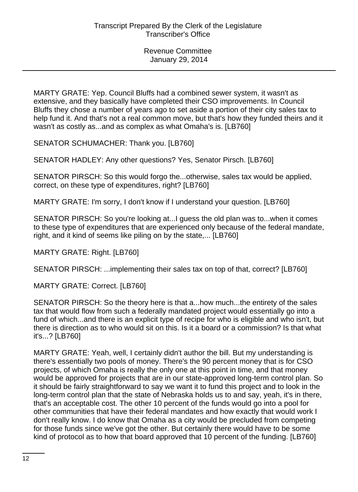MARTY GRATE: Yep. Council Bluffs had a combined sewer system, it wasn't as extensive, and they basically have completed their CSO improvements. In Council Bluffs they chose a number of years ago to set aside a portion of their city sales tax to help fund it. And that's not a real common move, but that's how they funded theirs and it wasn't as costly as...and as complex as what Omaha's is. [LB760]

SENATOR SCHUMACHER: Thank you. [LB760]

SENATOR HADLEY: Any other questions? Yes, Senator Pirsch. [LB760]

SENATOR PIRSCH: So this would forgo the...otherwise, sales tax would be applied, correct, on these type of expenditures, right? [LB760]

MARTY GRATE: I'm sorry, I don't know if I understand your question. [LB760]

SENATOR PIRSCH: So you're looking at...I guess the old plan was to...when it comes to these type of expenditures that are experienced only because of the federal mandate, right, and it kind of seems like piling on by the state,... [LB760]

MARTY GRATE: Right. [LB760]

SENATOR PIRSCH: ...implementing their sales tax on top of that, correct? [LB760]

MARTY GRATE: Correct. [LB760]

SENATOR PIRSCH: So the theory here is that a...how much...the entirety of the sales tax that would flow from such a federally mandated project would essentially go into a fund of which...and there is an explicit type of recipe for who is eligible and who isn't, but there is direction as to who would sit on this. Is it a board or a commission? Is that what it's...? [LB760]

MARTY GRATE: Yeah, well, I certainly didn't author the bill. But my understanding is there's essentially two pools of money. There's the 90 percent money that is for CSO projects, of which Omaha is really the only one at this point in time, and that money would be approved for projects that are in our state-approved long-term control plan. So it should be fairly straightforward to say we want it to fund this project and to look in the long-term control plan that the state of Nebraska holds us to and say, yeah, it's in there, that's an acceptable cost. The other 10 percent of the funds would go into a pool for other communities that have their federal mandates and how exactly that would work I don't really know. I do know that Omaha as a city would be precluded from competing for those funds since we've got the other. But certainly there would have to be some kind of protocol as to how that board approved that 10 percent of the funding. [LB760]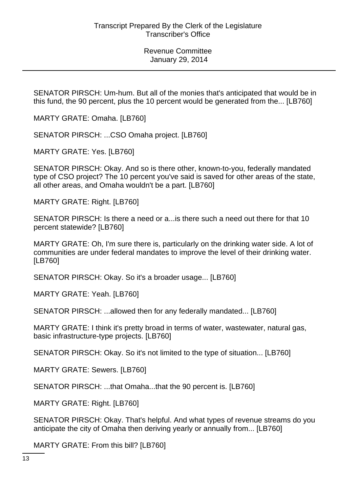SENATOR PIRSCH: Um-hum. But all of the monies that's anticipated that would be in this fund, the 90 percent, plus the 10 percent would be generated from the... [LB760]

MARTY GRATE: Omaha. [LB760]

SENATOR PIRSCH: ...CSO Omaha project. [LB760]

MARTY GRATE: Yes. [LB760]

SENATOR PIRSCH: Okay. And so is there other, known-to-you, federally mandated type of CSO project? The 10 percent you've said is saved for other areas of the state, all other areas, and Omaha wouldn't be a part. [LB760]

MARTY GRATE: Right. [LB760]

SENATOR PIRSCH: Is there a need or a...is there such a need out there for that 10 percent statewide? [LB760]

MARTY GRATE: Oh, I'm sure there is, particularly on the drinking water side. A lot of communities are under federal mandates to improve the level of their drinking water. [LB760]

SENATOR PIRSCH: Okay. So it's a broader usage... [LB760]

MARTY GRATE: Yeah. [LB760]

SENATOR PIRSCH: ...allowed then for any federally mandated... [LB760]

MARTY GRATE: I think it's pretty broad in terms of water, wastewater, natural gas, basic infrastructure-type projects. [LB760]

SENATOR PIRSCH: Okay. So it's not limited to the type of situation... [LB760]

MARTY GRATE: Sewers. [LB760]

SENATOR PIRSCH: ...that Omaha...that the 90 percent is. [LB760]

MARTY GRATE: Right. [LB760]

SENATOR PIRSCH: Okay. That's helpful. And what types of revenue streams do you anticipate the city of Omaha then deriving yearly or annually from... [LB760]

MARTY GRATE: From this bill? [LB760]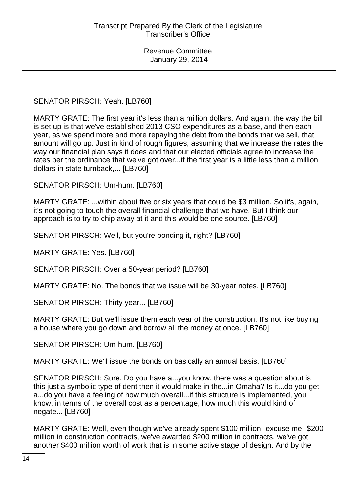### SENATOR PIRSCH: Yeah. [LB760]

MARTY GRATE: The first year it's less than a million dollars. And again, the way the bill is set up is that we've established 2013 CSO expenditures as a base, and then each year, as we spend more and more repaying the debt from the bonds that we sell, that amount will go up. Just in kind of rough figures, assuming that we increase the rates the way our financial plan says it does and that our elected officials agree to increase the rates per the ordinance that we've got over...if the first year is a little less than a million dollars in state turnback,... [LB760]

SENATOR PIRSCH: Um-hum. [LB760]

MARTY GRATE: ...within about five or six years that could be \$3 million. So it's, again, it's not going to touch the overall financial challenge that we have. But I think our approach is to try to chip away at it and this would be one source. [LB760]

SENATOR PIRSCH: Well, but you're bonding it, right? [LB760]

MARTY GRATE: Yes. [LB760]

SENATOR PIRSCH: Over a 50-year period? [LB760]

MARTY GRATE: No. The bonds that we issue will be 30-year notes. [LB760]

SENATOR PIRSCH: Thirty year... [LB760]

MARTY GRATE: But we'll issue them each year of the construction. It's not like buying a house where you go down and borrow all the money at once. [LB760]

SENATOR PIRSCH: Um-hum. [LB760]

MARTY GRATE: We'll issue the bonds on basically an annual basis. [LB760]

SENATOR PIRSCH: Sure. Do you have a...you know, there was a question about is this just a symbolic type of dent then it would make in the...in Omaha? Is it...do you get a...do you have a feeling of how much overall...if this structure is implemented, you know, in terms of the overall cost as a percentage, how much this would kind of negate... [LB760]

MARTY GRATE: Well, even though we've already spent \$100 million--excuse me--\$200 million in construction contracts, we've awarded \$200 million in contracts, we've got another \$400 million worth of work that is in some active stage of design. And by the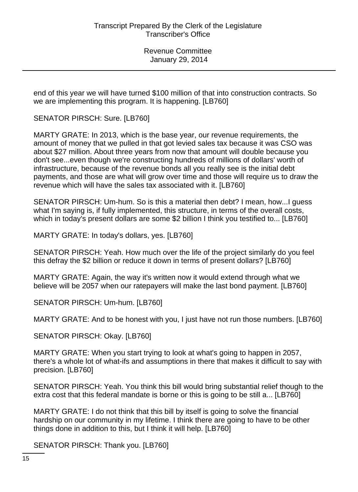end of this year we will have turned \$100 million of that into construction contracts. So we are implementing this program. It is happening. [LB760]

SENATOR PIRSCH: Sure. [LB760]

MARTY GRATE: In 2013, which is the base year, our revenue requirements, the amount of money that we pulled in that got levied sales tax because it was CSO was about \$27 million. About three years from now that amount will double because you don't see...even though we're constructing hundreds of millions of dollars' worth of infrastructure, because of the revenue bonds all you really see is the initial debt payments, and those are what will grow over time and those will require us to draw the revenue which will have the sales tax associated with it. [LB760]

SENATOR PIRSCH: Um-hum. So is this a material then debt? I mean, how...I guess what I'm saying is, if fully implemented, this structure, in terms of the overall costs, which in today's present dollars are some \$2 billion I think you testified to... [LB760]

MARTY GRATE: In today's dollars, yes. [LB760]

SENATOR PIRSCH: Yeah. How much over the life of the project similarly do you feel this defray the \$2 billion or reduce it down in terms of present dollars? [LB760]

MARTY GRATE: Again, the way it's written now it would extend through what we believe will be 2057 when our ratepayers will make the last bond payment. [LB760]

SENATOR PIRSCH: Um-hum. [LB760]

MARTY GRATE: And to be honest with you, I just have not run those numbers. [LB760]

SENATOR PIRSCH: Okay. [LB760]

MARTY GRATE: When you start trying to look at what's going to happen in 2057, there's a whole lot of what-ifs and assumptions in there that makes it difficult to say with precision. [LB760]

SENATOR PIRSCH: Yeah. You think this bill would bring substantial relief though to the extra cost that this federal mandate is borne or this is going to be still a... [LB760]

MARTY GRATE: I do not think that this bill by itself is going to solve the financial hardship on our community in my lifetime. I think there are going to have to be other things done in addition to this, but I think it will help. [LB760]

SENATOR PIRSCH: Thank you. [LB760]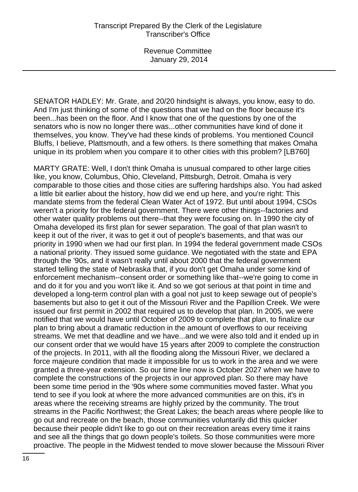SENATOR HADLEY: Mr. Grate, and 20/20 hindsight is always, you know, easy to do. And I'm just thinking of some of the questions that we had on the floor because it's been...has been on the floor. And I know that one of the questions by one of the senators who is now no longer there was...other communities have kind of done it themselves, you know. They've had these kinds of problems. You mentioned Council Bluffs, I believe, Plattsmouth, and a few others. Is there something that makes Omaha unique in its problem when you compare it to other cities with this problem? [LB760]

MARTY GRATE: Well, I don't think Omaha is unusual compared to other large cities like, you know, Columbus, Ohio, Cleveland, Pittsburgh, Detroit. Omaha is very comparable to those cities and those cities are suffering hardships also. You had asked a little bit earlier about the history, how did we end up here, and you're right: This mandate stems from the federal Clean Water Act of 1972. But until about 1994, CSOs weren't a priority for the federal government. There were other things--factories and other water quality problems out there--that they were focusing on. In 1990 the city of Omaha developed its first plan for sewer separation. The goal of that plan wasn't to keep it out of the river, it was to get it out of people's basements, and that was our priority in 1990 when we had our first plan. In 1994 the federal government made CSOs a national priority. They issued some guidance. We negotiated with the state and EPA through the '90s, and it wasn't really until about 2000 that the federal government started telling the state of Nebraska that, if you don't get Omaha under some kind of enforcement mechanism--consent order or something like that--we're going to come in and do it for you and you won't like it. And so we got serious at that point in time and developed a long-term control plan with a goal not just to keep sewage out of people's basements but also to get it out of the Missouri River and the Papillion Creek. We were issued our first permit in 2002 that required us to develop that plan. In 2005, we were notified that we would have until October of 2009 to complete that plan, to finalize our plan to bring about a dramatic reduction in the amount of overflows to our receiving streams. We met that deadline and we have...and we were also told and it ended up in our consent order that we would have 15 years after 2009 to complete the construction of the projects. In 2011, with all the flooding along the Missouri River, we declared a force majeure condition that made it impossible for us to work in the area and we were granted a three-year extension. So our time line now is October 2027 when we have to complete the constructions of the projects in our approved plan. So there may have been some time period in the '90s where some communities moved faster. What you tend to see if you look at where the more advanced communities are on this, it's in areas where the receiving streams are highly prized by the community. The trout streams in the Pacific Northwest; the Great Lakes; the beach areas where people like to go out and recreate on the beach, those communities voluntarily did this quicker because their people didn't like to go out on their recreation areas every time it rains and see all the things that go down people's toilets. So those communities were more proactive. The people in the Midwest tended to move slower because the Missouri River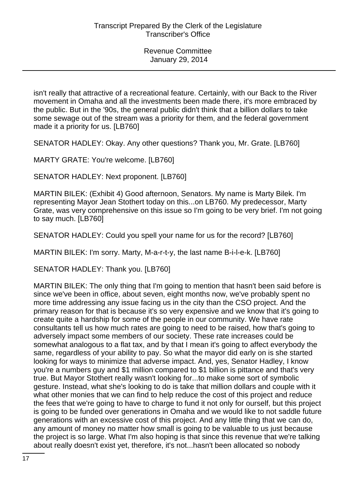isn't really that attractive of a recreational feature. Certainly, with our Back to the River movement in Omaha and all the investments been made there, it's more embraced by the public. But in the '90s, the general public didn't think that a billion dollars to take some sewage out of the stream was a priority for them, and the federal government made it a priority for us. [LB760]

SENATOR HADLEY: Okay. Any other questions? Thank you, Mr. Grate. [LB760]

MARTY GRATE: You're welcome. [LB760]

SENATOR HADLEY: Next proponent. [LB760]

MARTIN BILEK: (Exhibit 4) Good afternoon, Senators. My name is Marty Bilek. I'm representing Mayor Jean Stothert today on this...on LB760. My predecessor, Marty Grate, was very comprehensive on this issue so I'm going to be very brief. I'm not going to say much. [LB760]

SENATOR HADLEY: Could you spell your name for us for the record? [LB760]

MARTIN BILEK: I'm sorry. Marty, M-a-r-t-y, the last name B-i-l-e-k. [LB760]

SENATOR HADLEY: Thank you. [LB760]

MARTIN BILEK: The only thing that I'm going to mention that hasn't been said before is since we've been in office, about seven, eight months now, we've probably spent no more time addressing any issue facing us in the city than the CSO project. And the primary reason for that is because it's so very expensive and we know that it's going to create quite a hardship for some of the people in our community. We have rate consultants tell us how much rates are going to need to be raised, how that's going to adversely impact some members of our society. These rate increases could be somewhat analogous to a flat tax, and by that I mean it's going to affect everybody the same, regardless of your ability to pay. So what the mayor did early on is she started looking for ways to minimize that adverse impact. And, yes, Senator Hadley, I know you're a numbers guy and \$1 million compared to \$1 billion is pittance and that's very true. But Mayor Stothert really wasn't looking for...to make some sort of symbolic gesture. Instead, what she's looking to do is take that million dollars and couple with it what other monies that we can find to help reduce the cost of this project and reduce the fees that we're going to have to charge to fund it not only for ourself, but this project is going to be funded over generations in Omaha and we would like to not saddle future generations with an excessive cost of this project. And any little thing that we can do, any amount of money no matter how small is going to be valuable to us just because the project is so large. What I'm also hoping is that since this revenue that we're talking about really doesn't exist yet, therefore, it's not...hasn't been allocated so nobody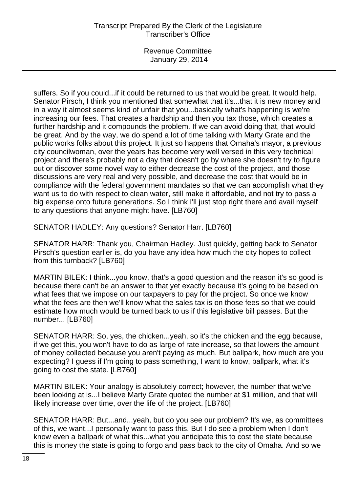Revenue Committee January 29, 2014

suffers. So if you could...if it could be returned to us that would be great. It would help. Senator Pirsch, I think you mentioned that somewhat that it's...that it is new money and in a way it almost seems kind of unfair that you...basically what's happening is we're increasing our fees. That creates a hardship and then you tax those, which creates a further hardship and it compounds the problem. If we can avoid doing that, that would be great. And by the way, we do spend a lot of time talking with Marty Grate and the public works folks about this project. It just so happens that Omaha's mayor, a previous city councilwoman, over the years has become very well versed in this very technical project and there's probably not a day that doesn't go by where she doesn't try to figure out or discover some novel way to either decrease the cost of the project, and those discussions are very real and very possible, and decrease the cost that would be in compliance with the federal government mandates so that we can accomplish what they want us to do with respect to clean water, still make it affordable, and not try to pass a big expense onto future generations. So I think I'll just stop right there and avail myself to any questions that anyone might have. [LB760]

SENATOR HADLEY: Any questions? Senator Harr. [LB760]

SENATOR HARR: Thank you, Chairman Hadley. Just quickly, getting back to Senator Pirsch's question earlier is, do you have any idea how much the city hopes to collect from this turnback? [LB760]

MARTIN BILEK: I think...you know, that's a good question and the reason it's so good is because there can't be an answer to that yet exactly because it's going to be based on what fees that we impose on our taxpayers to pay for the project. So once we know what the fees are then we'll know what the sales tax is on those fees so that we could estimate how much would be turned back to us if this legislative bill passes. But the number... [LB760]

SENATOR HARR: So, yes, the chicken...yeah, so it's the chicken and the egg because, if we get this, you won't have to do as large of rate increase, so that lowers the amount of money collected because you aren't paying as much. But ballpark, how much are you expecting? I guess if I'm going to pass something, I want to know, ballpark, what it's going to cost the state. [LB760]

MARTIN BILEK: Your analogy is absolutely correct; however, the number that we've been looking at is...I believe Marty Grate quoted the number at \$1 million, and that will likely increase over time, over the life of the project. [LB760]

SENATOR HARR: But...and...yeah, but do you see our problem? It's we, as committees of this, we want...I personally want to pass this. But I do see a problem when I don't know even a ballpark of what this...what you anticipate this to cost the state because this is money the state is going to forgo and pass back to the city of Omaha. And so we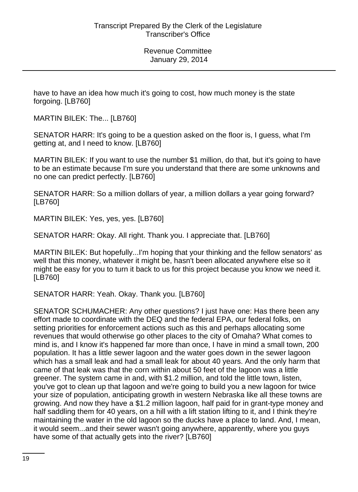have to have an idea how much it's going to cost, how much money is the state forgoing. [LB760]

MARTIN BILEK: The... [LB760]

SENATOR HARR: It's going to be a question asked on the floor is, I guess, what I'm getting at, and I need to know. [LB760]

MARTIN BILEK: If you want to use the number \$1 million, do that, but it's going to have to be an estimate because I'm sure you understand that there are some unknowns and no one can predict perfectly. [LB760]

SENATOR HARR: So a million dollars of year, a million dollars a year going forward? [LB760]

MARTIN BILEK: Yes, yes, yes. [LB760]

SENATOR HARR: Okay. All right. Thank you. I appreciate that. [LB760]

MARTIN BILEK: But hopefully...I'm hoping that your thinking and the fellow senators' as well that this money, whatever it might be, hasn't been allocated anywhere else so it might be easy for you to turn it back to us for this project because you know we need it. [LB760]

SENATOR HARR: Yeah. Okay. Thank you. [LB760]

SENATOR SCHUMACHER: Any other questions? I just have one: Has there been any effort made to coordinate with the DEQ and the federal EPA, our federal folks, on setting priorities for enforcement actions such as this and perhaps allocating some revenues that would otherwise go other places to the city of Omaha? What comes to mind is, and I know it's happened far more than once, I have in mind a small town, 200 population. It has a little sewer lagoon and the water goes down in the sewer lagoon which has a small leak and had a small leak for about 40 years. And the only harm that came of that leak was that the corn within about 50 feet of the lagoon was a little greener. The system came in and, with \$1.2 million, and told the little town, listen, you've got to clean up that lagoon and we're going to build you a new lagoon for twice your size of population, anticipating growth in western Nebraska like all these towns are growing. And now they have a \$1.2 million lagoon, half paid for in grant-type money and half saddling them for 40 years, on a hill with a lift station lifting to it, and I think they're maintaining the water in the old lagoon so the ducks have a place to land. And, I mean, it would seem...and their sewer wasn't going anywhere, apparently, where you guys have some of that actually gets into the river? [LB760]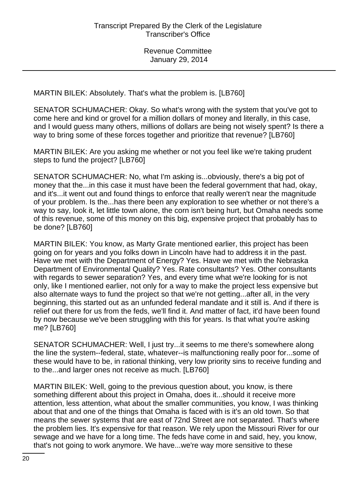MARTIN BILEK: Absolutely. That's what the problem is. [LB760]

SENATOR SCHUMACHER: Okay. So what's wrong with the system that you've got to come here and kind or grovel for a million dollars of money and literally, in this case, and I would guess many others, millions of dollars are being not wisely spent? Is there a way to bring some of these forces together and prioritize that revenue? [LB760]

MARTIN BILEK: Are you asking me whether or not you feel like we're taking prudent steps to fund the project? [LB760]

SENATOR SCHUMACHER: No, what I'm asking is...obviously, there's a big pot of money that the...in this case it must have been the federal government that had, okay, and it's...it went out and found things to enforce that really weren't near the magnitude of your problem. Is the...has there been any exploration to see whether or not there's a way to say, look it, let little town alone, the corn isn't being hurt, but Omaha needs some of this revenue, some of this money on this big, expensive project that probably has to be done? [LB760]

MARTIN BILEK: You know, as Marty Grate mentioned earlier, this project has been going on for years and you folks down in Lincoln have had to address it in the past. Have we met with the Department of Energy? Yes. Have we met with the Nebraska Department of Environmental Quality? Yes. Rate consultants? Yes. Other consultants with regards to sewer separation? Yes, and every time what we're looking for is not only, like I mentioned earlier, not only for a way to make the project less expensive but also alternate ways to fund the project so that we're not getting...after all, in the very beginning, this started out as an unfunded federal mandate and it still is. And if there is relief out there for us from the feds, we'll find it. And matter of fact, it'd have been found by now because we've been struggling with this for years. Is that what you're asking me? [LB760]

SENATOR SCHUMACHER: Well, I just try...it seems to me there's somewhere along the line the system--federal, state, whatever--is malfunctioning really poor for...some of these would have to be, in rational thinking, very low priority sins to receive funding and to the...and larger ones not receive as much. [LB760]

MARTIN BILEK: Well, going to the previous question about, you know, is there something different about this project in Omaha, does it...should it receive more attention, less attention, what about the smaller communities, you know, I was thinking about that and one of the things that Omaha is faced with is it's an old town. So that means the sewer systems that are east of 72nd Street are not separated. That's where the problem lies. It's expensive for that reason. We rely upon the Missouri River for our sewage and we have for a long time. The feds have come in and said, hey, you know, that's not going to work anymore. We have...we're way more sensitive to these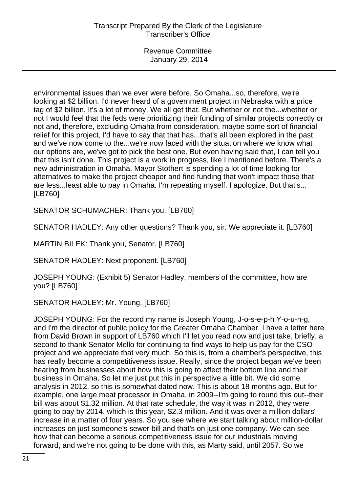environmental issues than we ever were before. So Omaha...so, therefore, we're looking at \$2 billion. I'd never heard of a government project in Nebraska with a price tag of \$2 billion. It's a lot of money. We all get that. But whether or not the...whether or not I would feel that the feds were prioritizing their funding of similar projects correctly or not and, therefore, excluding Omaha from consideration, maybe some sort of financial relief for this project, I'd have to say that that has...that's all been explored in the past and we've now come to the...we're now faced with the situation where we know what our options are, we've got to pick the best one. But even having said that, I can tell you that this isn't done. This project is a work in progress, like I mentioned before. There's a new administration in Omaha. Mayor Stothert is spending a lot of time looking for alternatives to make the project cheaper and find funding that won't impact those that are less...least able to pay in Omaha. I'm repeating myself. I apologize. But that's... [LB760]

SENATOR SCHUMACHER: Thank you. [LB760]

SENATOR HADLEY: Any other questions? Thank you, sir. We appreciate it. [LB760]

MARTIN BILEK: Thank you, Senator. [LB760]

SENATOR HADLEY: Next proponent. [LB760]

JOSEPH YOUNG: (Exhibit 5) Senator Hadley, members of the committee, how are you? [LB760]

SENATOR HADLEY: Mr. Young. [LB760]

JOSEPH YOUNG: For the record my name is Joseph Young, J-o-s-e-p-h Y-o-u-n-g, and I'm the director of public policy for the Greater Omaha Chamber. I have a letter here from David Brown in support of LB760 which I'll let you read now and just take, briefly, a second to thank Senator Mello for continuing to find ways to help us pay for the CSO project and we appreciate that very much. So this is, from a chamber's perspective, this has really become a competitiveness issue. Really, since the project began we've been hearing from businesses about how this is going to affect their bottom line and their business in Omaha. So let me just put this in perspective a little bit. We did some analysis in 2012, so this is somewhat dated now. This is about 18 months ago. But for example, one large meat processor in Omaha, in 2009--I'm going to round this out--their bill was about \$1.32 million. At that rate schedule, the way it was in 2012, they were going to pay by 2014, which is this year, \$2.3 million. And it was over a million dollars' increase in a matter of four years. So you see where we start talking about million-dollar increases on just someone's sewer bill and that's on just one company. We can see how that can become a serious competitiveness issue for our industrials moving forward, and we're not going to be done with this, as Marty said, until 2057. So we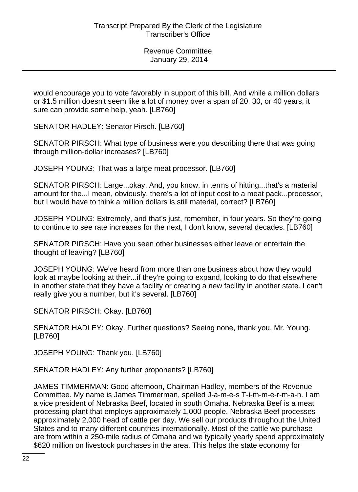would encourage you to vote favorably in support of this bill. And while a million dollars or \$1.5 million doesn't seem like a lot of money over a span of 20, 30, or 40 years, it sure can provide some help, yeah. [LB760]

SENATOR HADLEY: Senator Pirsch. [LB760]

SENATOR PIRSCH: What type of business were you describing there that was going through million-dollar increases? [LB760]

JOSEPH YOUNG: That was a large meat processor. [LB760]

SENATOR PIRSCH: Large...okay. And, you know, in terms of hitting...that's a material amount for the...I mean, obviously, there's a lot of input cost to a meat pack...processor, but I would have to think a million dollars is still material, correct? [LB760]

JOSEPH YOUNG: Extremely, and that's just, remember, in four years. So they're going to continue to see rate increases for the next, I don't know, several decades. [LB760]

SENATOR PIRSCH: Have you seen other businesses either leave or entertain the thought of leaving? [LB760]

JOSEPH YOUNG: We've heard from more than one business about how they would look at maybe looking at their...if they're going to expand, looking to do that elsewhere in another state that they have a facility or creating a new facility in another state. I can't really give you a number, but it's several. [LB760]

SENATOR PIRSCH: Okay. [LB760]

SENATOR HADLEY: Okay. Further questions? Seeing none, thank you, Mr. Young. [LB760]

JOSEPH YOUNG: Thank you. [LB760]

SENATOR HADLEY: Any further proponents? [LB760]

JAMES TIMMERMAN: Good afternoon, Chairman Hadley, members of the Revenue Committee. My name is James Timmerman, spelled J-a-m-e-s T-i-m-m-e-r-m-a-n. I am a vice president of Nebraska Beef, located in south Omaha. Nebraska Beef is a meat processing plant that employs approximately 1,000 people. Nebraska Beef processes approximately 2,000 head of cattle per day. We sell our products throughout the United States and to many different countries internationally. Most of the cattle we purchase are from within a 250-mile radius of Omaha and we typically yearly spend approximately \$620 million on livestock purchases in the area. This helps the state economy for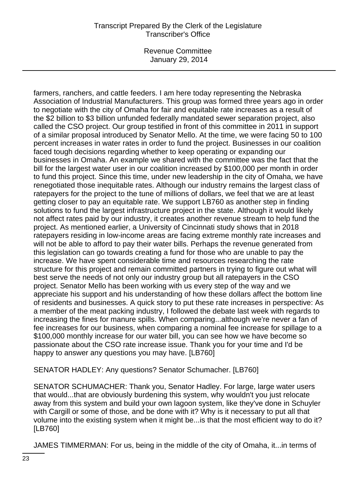Revenue Committee January 29, 2014

farmers, ranchers, and cattle feeders. I am here today representing the Nebraska Association of Industrial Manufacturers. This group was formed three years ago in order to negotiate with the city of Omaha for fair and equitable rate increases as a result of the \$2 billion to \$3 billion unfunded federally mandated sewer separation project, also called the CSO project. Our group testified in front of this committee in 2011 in support of a similar proposal introduced by Senator Mello. At the time, we were facing 50 to 100 percent increases in water rates in order to fund the project. Businesses in our coalition faced tough decisions regarding whether to keep operating or expanding our businesses in Omaha. An example we shared with the committee was the fact that the bill for the largest water user in our coalition increased by \$100,000 per month in order to fund this project. Since this time, under new leadership in the city of Omaha, we have renegotiated those inequitable rates. Although our industry remains the largest class of ratepayers for the project to the tune of millions of dollars, we feel that we are at least getting closer to pay an equitable rate. We support LB760 as another step in finding solutions to fund the largest infrastructure project in the state. Although it would likely not affect rates paid by our industry, it creates another revenue stream to help fund the project. As mentioned earlier, a University of Cincinnati study shows that in 2018 ratepayers residing in low-income areas are facing extreme monthly rate increases and will not be able to afford to pay their water bills. Perhaps the revenue generated from this legislation can go towards creating a fund for those who are unable to pay the increase. We have spent considerable time and resources researching the rate structure for this project and remain committed partners in trying to figure out what will best serve the needs of not only our industry group but all ratepayers in the CSO project. Senator Mello has been working with us every step of the way and we appreciate his support and his understanding of how these dollars affect the bottom line of residents and businesses. A quick story to put these rate increases in perspective: As a member of the meat packing industry, I followed the debate last week with regards to increasing the fines for manure spills. When comparing...although we're never a fan of fee increases for our business, when comparing a nominal fee increase for spillage to a \$100,000 monthly increase for our water bill, you can see how we have become so passionate about the CSO rate increase issue. Thank you for your time and I'd be happy to answer any questions you may have. [LB760]

SENATOR HADLEY: Any questions? Senator Schumacher. [LB760]

SENATOR SCHUMACHER: Thank you, Senator Hadley. For large, large water users that would...that are obviously burdening this system, why wouldn't you just relocate away from this system and build your own lagoon system, like they've done in Schuyler with Cargill or some of those, and be done with it? Why is it necessary to put all that volume into the existing system when it might be...is that the most efficient way to do it? [LB760]

JAMES TIMMERMAN: For us, being in the middle of the city of Omaha, it...in terms of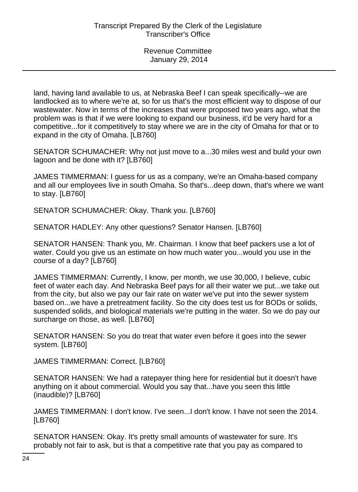land, having land available to us, at Nebraska Beef I can speak specifically--we are landlocked as to where we're at, so for us that's the most efficient way to dispose of our wastewater. Now in terms of the increases that were proposed two years ago, what the problem was is that if we were looking to expand our business, it'd be very hard for a competitive...for it competitively to stay where we are in the city of Omaha for that or to expand in the city of Omaha. [LB760]

SENATOR SCHUMACHER: Why not just move to a...30 miles west and build your own lagoon and be done with it? [LB760]

JAMES TIMMERMAN: I guess for us as a company, we're an Omaha-based company and all our employees live in south Omaha. So that's...deep down, that's where we want to stay. [LB760]

SENATOR SCHUMACHER: Okay. Thank you. [LB760]

SENATOR HADLEY: Any other questions? Senator Hansen. [LB760]

SENATOR HANSEN: Thank you, Mr. Chairman. I know that beef packers use a lot of water. Could you give us an estimate on how much water you...would you use in the course of a day? [LB760]

JAMES TIMMERMAN: Currently, I know, per month, we use 30,000, I believe, cubic feet of water each day. And Nebraska Beef pays for all their water we put...we take out from the city, but also we pay our fair rate on water we've put into the sewer system based on...we have a pretreatment facility. So the city does test us for BODs or solids, suspended solids, and biological materials we're putting in the water. So we do pay our surcharge on those, as well. [LB760]

SENATOR HANSEN: So you do treat that water even before it goes into the sewer system. [LB760]

JAMES TIMMERMAN: Correct. [LB760]

SENATOR HANSEN: We had a ratepayer thing here for residential but it doesn't have anything on it about commercial. Would you say that...have you seen this little (inaudible)? [LB760]

JAMES TIMMERMAN: I don't know. I've seen...I don't know. I have not seen the 2014. [LB760]

SENATOR HANSEN: Okay. It's pretty small amounts of wastewater for sure. It's probably not fair to ask, but is that a competitive rate that you pay as compared to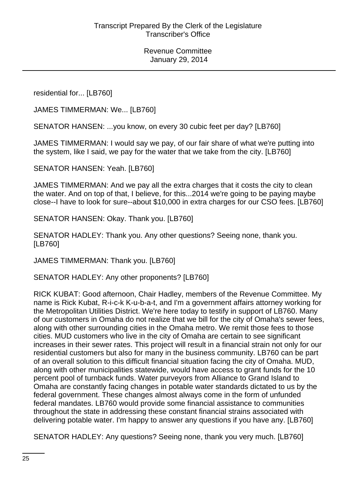residential for... [LB760]

JAMES TIMMERMAN: We... [LB760]

SENATOR HANSEN: ...you know, on every 30 cubic feet per day? [LB760]

JAMES TIMMERMAN: I would say we pay, of our fair share of what we're putting into the system, like I said, we pay for the water that we take from the city. [LB760]

SENATOR HANSEN: Yeah. [LB760]

JAMES TIMMERMAN: And we pay all the extra charges that it costs the city to clean the water. And on top of that, I believe, for this...2014 we're going to be paying maybe close--I have to look for sure--about \$10,000 in extra charges for our CSO fees. [LB760]

SENATOR HANSEN: Okay. Thank you. [LB760]

SENATOR HADLEY: Thank you. Any other questions? Seeing none, thank you. [LB760]

JAMES TIMMERMAN: Thank you. [LB760]

SENATOR HADLEY: Any other proponents? [LB760]

RICK KUBAT: Good afternoon, Chair Hadley, members of the Revenue Committee. My name is Rick Kubat, R-i-c-k K-u-b-a-t, and I'm a government affairs attorney working for the Metropolitan Utilities District. We're here today to testify in support of LB760. Many of our customers in Omaha do not realize that we bill for the city of Omaha's sewer fees, along with other surrounding cities in the Omaha metro. We remit those fees to those cities. MUD customers who live in the city of Omaha are certain to see significant increases in their sewer rates. This project will result in a financial strain not only for our residential customers but also for many in the business community. LB760 can be part of an overall solution to this difficult financial situation facing the city of Omaha. MUD, along with other municipalities statewide, would have access to grant funds for the 10 percent pool of turnback funds. Water purveyors from Alliance to Grand Island to Omaha are constantly facing changes in potable water standards dictated to us by the federal government. These changes almost always come in the form of unfunded federal mandates. LB760 would provide some financial assistance to communities throughout the state in addressing these constant financial strains associated with delivering potable water. I'm happy to answer any questions if you have any. [LB760]

SENATOR HADLEY: Any questions? Seeing none, thank you very much. [LB760]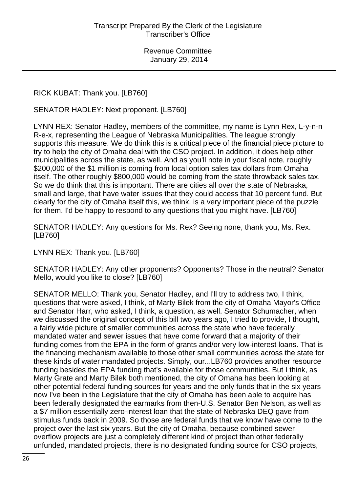#### RICK KUBAT: Thank you. [LB760]

SENATOR HADLEY: Next proponent. [LB760]

LYNN REX: Senator Hadley, members of the committee, my name is Lynn Rex, L-y-n-n R-e-x, representing the League of Nebraska Municipalities. The league strongly supports this measure. We do think this is a critical piece of the financial piece picture to try to help the city of Omaha deal with the CSO project. In addition, it does help other municipalities across the state, as well. And as you'll note in your fiscal note, roughly \$200,000 of the \$1 million is coming from local option sales tax dollars from Omaha itself. The other roughly \$800,000 would be coming from the state throwback sales tax. So we do think that this is important. There are cities all over the state of Nebraska, small and large, that have water issues that they could access that 10 percent fund. But clearly for the city of Omaha itself this, we think, is a very important piece of the puzzle for them. I'd be happy to respond to any questions that you might have. [LB760]

SENATOR HADLEY: Any questions for Ms. Rex? Seeing none, thank you, Ms. Rex. [LB760]

LYNN REX: Thank you. [LB760]

SENATOR HADLEY: Any other proponents? Opponents? Those in the neutral? Senator Mello, would you like to close? [LB760]

SENATOR MELLO: Thank you, Senator Hadley, and I'll try to address two, I think, questions that were asked, I think, of Marty Bilek from the city of Omaha Mayor's Office and Senator Harr, who asked, I think, a question, as well. Senator Schumacher, when we discussed the original concept of this bill two years ago, I tried to provide, I thought, a fairly wide picture of smaller communities across the state who have federally mandated water and sewer issues that have come forward that a majority of their funding comes from the EPA in the form of grants and/or very low-interest loans. That is the financing mechanism available to those other small communities across the state for these kinds of water mandated projects. Simply, our...LB760 provides another resource funding besides the EPA funding that's available for those communities. But I think, as Marty Grate and Marty Bilek both mentioned, the city of Omaha has been looking at other potential federal funding sources for years and the only funds that in the six years now I've been in the Legislature that the city of Omaha has been able to acquire has been federally designated the earmarks from then-U.S. Senator Ben Nelson, as well as a \$7 million essentially zero-interest loan that the state of Nebraska DEQ gave from stimulus funds back in 2009. So those are federal funds that we know have come to the project over the last six years. But the city of Omaha, because combined sewer overflow projects are just a completely different kind of project than other federally unfunded, mandated projects, there is no designated funding source for CSO projects,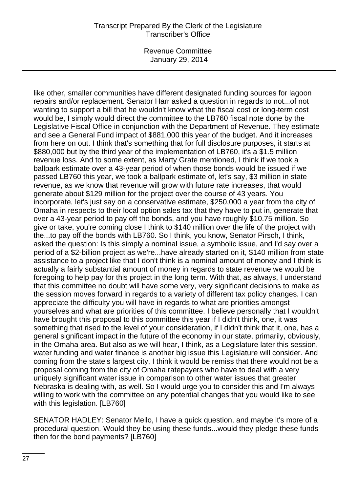Revenue Committee January 29, 2014

like other, smaller communities have different designated funding sources for lagoon repairs and/or replacement. Senator Harr asked a question in regards to not...of not wanting to support a bill that he wouldn't know what the fiscal cost or long-term cost would be, I simply would direct the committee to the LB760 fiscal note done by the Legislative Fiscal Office in conjunction with the Department of Revenue. They estimate and see a General Fund impact of \$881,000 this year of the budget. And it increases from here on out. I think that's something that for full disclosure purposes, it starts at \$880,000 but by the third year of the implementation of LB760, it's a \$1.5 million revenue loss. And to some extent, as Marty Grate mentioned, I think if we took a ballpark estimate over a 43-year period of when those bonds would be issued if we passed LB760 this year, we took a ballpark estimate of, let's say, \$3 million in state revenue, as we know that revenue will grow with future rate increases, that would generate about \$129 million for the project over the course of 43 years. You incorporate, let's just say on a conservative estimate, \$250,000 a year from the city of Omaha in respects to their local option sales tax that they have to put in, generate that over a 43-year period to pay off the bonds, and you have roughly \$10.75 million. So give or take, you're coming close I think to \$140 million over the life of the project with the...to pay off the bonds with LB760. So I think, you know, Senator Pirsch, I think, asked the question: Is this simply a nominal issue, a symbolic issue, and I'd say over a period of a \$2-billion project as we're...have already started on it, \$140 million from state assistance to a project like that I don't think is a nominal amount of money and I think is actually a fairly substantial amount of money in regards to state revenue we would be foregoing to help pay for this project in the long term. With that, as always, I understand that this committee no doubt will have some very, very significant decisions to make as the session moves forward in regards to a variety of different tax policy changes. I can appreciate the difficulty you will have in regards to what are priorities amongst yourselves and what are priorities of this committee. I believe personally that I wouldn't have brought this proposal to this committee this year if I didn't think, one, it was something that rised to the level of your consideration, if I didn't think that it, one, has a general significant impact in the future of the economy in our state, primarily, obviously, in the Omaha area. But also as we will hear, I think, as a Legislature later this session, water funding and water finance is another big issue this Legislature will consider. And coming from the state's largest city, I think it would be remiss that there would not be a proposal coming from the city of Omaha ratepayers who have to deal with a very uniquely significant water issue in comparison to other water issues that greater Nebraska is dealing with, as well. So I would urge you to consider this and I'm always willing to work with the committee on any potential changes that you would like to see with this legislation. [LB760]

SENATOR HADLEY: Senator Mello, I have a quick question, and maybe it's more of a procedural question. Would they be using these funds...would they pledge these funds then for the bond payments? [LB760]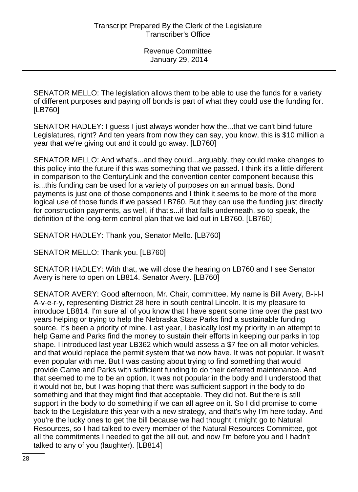SENATOR MELLO: The legislation allows them to be able to use the funds for a variety of different purposes and paying off bonds is part of what they could use the funding for. [LB760]

SENATOR HADLEY: I guess I just always wonder how the...that we can't bind future Legislatures, right? And ten years from now they can say, you know, this is \$10 million a year that we're giving out and it could go away. [LB760]

SENATOR MELLO: And what's...and they could...arguably, they could make changes to this policy into the future if this was something that we passed. I think it's a little different in comparison to the CenturyLink and the convention center component because this is...this funding can be used for a variety of purposes on an annual basis. Bond payments is just one of those components and I think it seems to be more of the more logical use of those funds if we passed LB760. But they can use the funding just directly for construction payments, as well, if that's...if that falls underneath, so to speak, the definition of the long-term control plan that we laid out in LB760. [LB760]

SENATOR HADLEY: Thank you, Senator Mello. [LB760]

SENATOR MELLO: Thank you. [LB760]

SENATOR HADLEY: With that, we will close the hearing on LB760 and I see Senator Avery is here to open on LB814. Senator Avery. [LB760]

SENATOR AVERY: Good afternoon, Mr. Chair, committee. My name is Bill Avery, B-i-l-l A-v-e-r-y, representing District 28 here in south central Lincoln. It is my pleasure to introduce LB814. I'm sure all of you know that I have spent some time over the past two years helping or trying to help the Nebraska State Parks find a sustainable funding source. It's been a priority of mine. Last year, I basically lost my priority in an attempt to help Game and Parks find the money to sustain their efforts in keeping our parks in top shape. I introduced last year LB362 which would assess a \$7 fee on all motor vehicles, and that would replace the permit system that we now have. It was not popular. It wasn't even popular with me. But I was casting about trying to find something that would provide Game and Parks with sufficient funding to do their deferred maintenance. And that seemed to me to be an option. It was not popular in the body and I understood that it would not be, but I was hoping that there was sufficient support in the body to do something and that they might find that acceptable. They did not. But there is still support in the body to do something if we can all agree on it. So I did promise to come back to the Legislature this year with a new strategy, and that's why I'm here today. And you're the lucky ones to get the bill because we had thought it might go to Natural Resources, so I had talked to every member of the Natural Resources Committee, got all the commitments I needed to get the bill out, and now I'm before you and I hadn't talked to any of you (laughter). [LB814]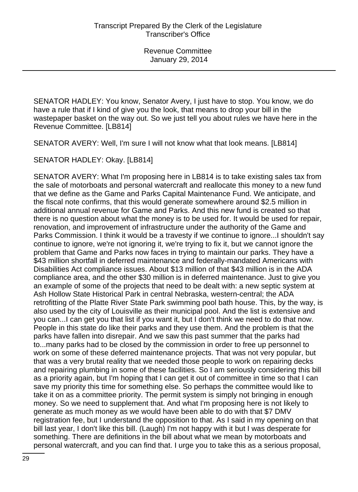SENATOR HADLEY: You know, Senator Avery, I just have to stop. You know, we do have a rule that if I kind of give you the look, that means to drop your bill in the wastepaper basket on the way out. So we just tell you about rules we have here in the Revenue Committee. [LB814]

SENATOR AVERY: Well, I'm sure I will not know what that look means. [LB814]

SENATOR HADLEY: Okay. [LB814]

SENATOR AVERY: What I'm proposing here in LB814 is to take existing sales tax from the sale of motorboats and personal watercraft and reallocate this money to a new fund that we define as the Game and Parks Capital Maintenance Fund. We anticipate, and the fiscal note confirms, that this would generate somewhere around \$2.5 million in additional annual revenue for Game and Parks. And this new fund is created so that there is no question about what the money is to be used for. It would be used for repair, renovation, and improvement of infrastructure under the authority of the Game and Parks Commission. I think it would be a travesty if we continue to ignore...I shouldn't say continue to ignore, we're not ignoring it, we're trying to fix it, but we cannot ignore the problem that Game and Parks now faces in trying to maintain our parks. They have a \$43 million shortfall in deferred maintenance and federally-mandated Americans with Disabilities Act compliance issues. About \$13 million of that \$43 million is in the ADA compliance area, and the other \$30 million is in deferred maintenance. Just to give you an example of some of the projects that need to be dealt with: a new septic system at Ash Hollow State Historical Park in central Nebraska, western-central; the ADA retrofitting of the Platte River State Park swimming pool bath house. This, by the way, is also used by the city of Louisville as their municipal pool. And the list is extensive and you can...I can get you that list if you want it, but I don't think we need to do that now. People in this state do like their parks and they use them. And the problem is that the parks have fallen into disrepair. And we saw this past summer that the parks had to...many parks had to be closed by the commission in order to free up personnel to work on some of these deferred maintenance projects. That was not very popular, but that was a very brutal reality that we needed those people to work on repairing decks and repairing plumbing in some of these facilities. So I am seriously considering this bill as a priority again, but I'm hoping that I can get it out of committee in time so that I can save my priority this time for something else. So perhaps the committee would like to take it on as a committee priority. The permit system is simply not bringing in enough money. So we need to supplement that. And what I'm proposing here is not likely to generate as much money as we would have been able to do with that \$7 DMV registration fee, but I understand the opposition to that. As I said in my opening on that bill last year, I don't like this bill. (Laugh) I'm not happy with it but I was desperate for something. There are definitions in the bill about what we mean by motorboats and personal watercraft, and you can find that. I urge you to take this as a serious proposal,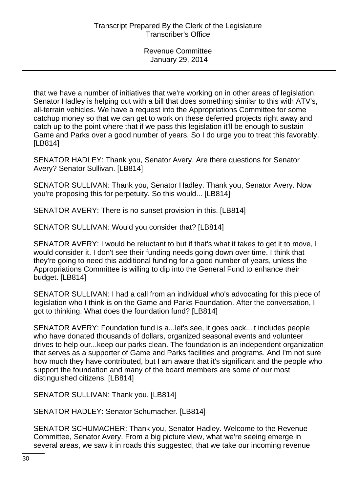that we have a number of initiatives that we're working on in other areas of legislation. Senator Hadley is helping out with a bill that does something similar to this with ATV's, all-terrain vehicles. We have a request into the Appropriations Committee for some catchup money so that we can get to work on these deferred projects right away and catch up to the point where that if we pass this legislation it'll be enough to sustain Game and Parks over a good number of years. So I do urge you to treat this favorably. [LB814]

SENATOR HADLEY: Thank you, Senator Avery. Are there questions for Senator Avery? Senator Sullivan. [LB814]

SENATOR SULLIVAN: Thank you, Senator Hadley. Thank you, Senator Avery. Now you're proposing this for perpetuity. So this would... [LB814]

SENATOR AVERY: There is no sunset provision in this. [LB814]

SENATOR SULLIVAN: Would you consider that? [LB814]

SENATOR AVERY: I would be reluctant to but if that's what it takes to get it to move, I would consider it. I don't see their funding needs going down over time. I think that they're going to need this additional funding for a good number of years, unless the Appropriations Committee is willing to dip into the General Fund to enhance their budget. [LB814]

SENATOR SULLIVAN: I had a call from an individual who's advocating for this piece of legislation who I think is on the Game and Parks Foundation. After the conversation, I got to thinking. What does the foundation fund? [LB814]

SENATOR AVERY: Foundation fund is a...let's see, it goes back...it includes people who have donated thousands of dollars, organized seasonal events and volunteer drives to help our...keep our parks clean. The foundation is an independent organization that serves as a supporter of Game and Parks facilities and programs. And I'm not sure how much they have contributed, but I am aware that it's significant and the people who support the foundation and many of the board members are some of our most distinguished citizens. [LB814]

SENATOR SULLIVAN: Thank you. [LB814]

SENATOR HADLEY: Senator Schumacher. [LB814]

SENATOR SCHUMACHER: Thank you, Senator Hadley. Welcome to the Revenue Committee, Senator Avery. From a big picture view, what we're seeing emerge in several areas, we saw it in roads this suggested, that we take our incoming revenue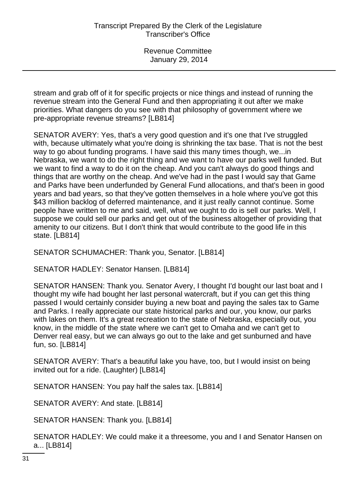stream and grab off of it for specific projects or nice things and instead of running the revenue stream into the General Fund and then appropriating it out after we make priorities. What dangers do you see with that philosophy of government where we pre-appropriate revenue streams? [LB814]

SENATOR AVERY: Yes, that's a very good question and it's one that I've struggled with, because ultimately what you're doing is shrinking the tax base. That is not the best way to go about funding programs. I have said this many times though, we...in Nebraska, we want to do the right thing and we want to have our parks well funded. But we want to find a way to do it on the cheap. And you can't always do good things and things that are worthy on the cheap. And we've had in the past I would say that Game and Parks have been underfunded by General Fund allocations, and that's been in good years and bad years, so that they've gotten themselves in a hole where you've got this \$43 million backlog of deferred maintenance, and it just really cannot continue. Some people have written to me and said, well, what we ought to do is sell our parks. Well, I suppose we could sell our parks and get out of the business altogether of providing that amenity to our citizens. But I don't think that would contribute to the good life in this state. [LB814]

SENATOR SCHUMACHER: Thank you, Senator. [LB814]

SENATOR HADLEY: Senator Hansen. [LB814]

SENATOR HANSEN: Thank you. Senator Avery, I thought I'd bought our last boat and I thought my wife had bought her last personal watercraft, but if you can get this thing passed I would certainly consider buying a new boat and paying the sales tax to Game and Parks. I really appreciate our state historical parks and our, you know, our parks with lakes on them. It's a great recreation to the state of Nebraska, especially out, you know, in the middle of the state where we can't get to Omaha and we can't get to Denver real easy, but we can always go out to the lake and get sunburned and have fun, so. [LB814]

SENATOR AVERY: That's a beautiful lake you have, too, but I would insist on being invited out for a ride. (Laughter) [LB814]

SENATOR HANSEN: You pay half the sales tax. [LB814]

SENATOR AVERY: And state. [LB814]

SENATOR HANSEN: Thank you. [LB814]

SENATOR HADLEY: We could make it a threesome, you and I and Senator Hansen on a... [LB814]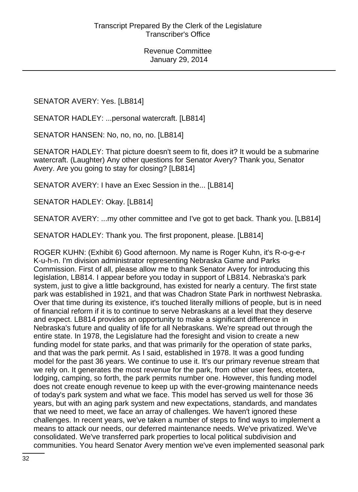SENATOR AVERY: Yes. [LB814]

SENATOR HADLEY: ...personal watercraft. [LB814]

SENATOR HANSEN: No, no, no, no. [LB814]

SENATOR HADLEY: That picture doesn't seem to fit, does it? It would be a submarine watercraft. (Laughter) Any other questions for Senator Avery? Thank you, Senator Avery. Are you going to stay for closing? [LB814]

SENATOR AVERY: I have an Exec Session in the... [LB814]

SENATOR HADLEY: Okay. [LB814]

SENATOR AVERY: ...my other committee and I've got to get back. Thank you. [LB814]

SENATOR HADLEY: Thank you. The first proponent, please. [LB814]

ROGER KUHN: (Exhibit 6) Good afternoon. My name is Roger Kuhn, it's R-o-g-e-r K-u-h-n. I'm division administrator representing Nebraska Game and Parks Commission. First of all, please allow me to thank Senator Avery for introducing this legislation, LB814. I appear before you today in support of LB814. Nebraska's park system, just to give a little background, has existed for nearly a century. The first state park was established in 1921, and that was Chadron State Park in northwest Nebraska. Over that time during its existence, it's touched literally millions of people, but is in need of financial reform if it is to continue to serve Nebraskans at a level that they deserve and expect. LB814 provides an opportunity to make a significant difference in Nebraska's future and quality of life for all Nebraskans. We're spread out through the entire state. In 1978, the Legislature had the foresight and vision to create a new funding model for state parks, and that was primarily for the operation of state parks, and that was the park permit. As I said, established in 1978. It was a good funding model for the past 36 years. We continue to use it. It's our primary revenue stream that we rely on. It generates the most revenue for the park, from other user fees, etcetera, lodging, camping, so forth, the park permits number one. However, this funding model does not create enough revenue to keep up with the ever-growing maintenance needs of today's park system and what we face. This model has served us well for those 36 years, but with an aging park system and new expectations, standards, and mandates that we need to meet, we face an array of challenges. We haven't ignored these challenges. In recent years, we've taken a number of steps to find ways to implement a means to attack our needs, our deferred maintenance needs. We've privatized. We've consolidated. We've transferred park properties to local political subdivision and communities. You heard Senator Avery mention we've even implemented seasonal park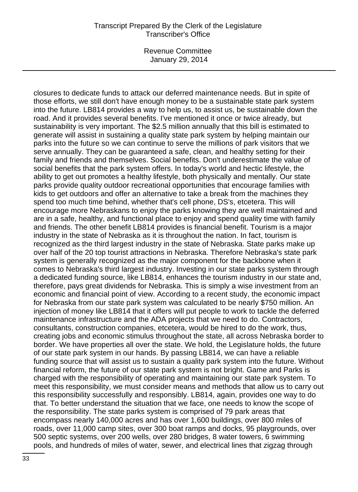Revenue Committee January 29, 2014

closures to dedicate funds to attack our deferred maintenance needs. But in spite of those efforts, we still don't have enough money to be a sustainable state park system into the future. LB814 provides a way to help us, to assist us, be sustainable down the road. And it provides several benefits. I've mentioned it once or twice already, but sustainability is very important. The \$2.5 million annually that this bill is estimated to generate will assist in sustaining a quality state park system by helping maintain our parks into the future so we can continue to serve the millions of park visitors that we serve annually. They can be guaranteed a safe, clean, and healthy setting for their family and friends and themselves. Social benefits. Don't underestimate the value of social benefits that the park system offers. In today's world and hectic lifestyle, the ability to get out promotes a healthy lifestyle, both physically and mentally. Our state parks provide quality outdoor recreational opportunities that encourage families with kids to get outdoors and offer an alternative to take a break from the machines they spend too much time behind, whether that's cell phone, DS's, etcetera. This will encourage more Nebraskans to enjoy the parks knowing they are well maintained and are in a safe, healthy, and functional place to enjoy and spend quality time with family and friends. The other benefit LB814 provides is financial benefit. Tourism is a major industry in the state of Nebraska as it is throughout the nation. In fact, tourism is recognized as the third largest industry in the state of Nebraska. State parks make up over half of the 20 top tourist attractions in Nebraska. Therefore Nebraska's state park system is generally recognized as the major component for the backbone when it comes to Nebraska's third largest industry. Investing in our state parks system through a dedicated funding source, like LB814, enhances the tourism industry in our state and, therefore, pays great dividends for Nebraska. This is simply a wise investment from an economic and financial point of view. According to a recent study, the economic impact for Nebraska from our state park system was calculated to be nearly \$750 million. An injection of money like LB814 that it offers will put people to work to tackle the deferred maintenance infrastructure and the ADA projects that we need to do. Contractors, consultants, construction companies, etcetera, would be hired to do the work, thus, creating jobs and economic stimulus throughout the state, all across Nebraska border to border. We have properties all over the state. We hold, the Legislature holds, the future of our state park system in our hands. By passing LB814, we can have a reliable funding source that will assist us to sustain a quality park system into the future. Without financial reform, the future of our state park system is not bright. Game and Parks is charged with the responsibility of operating and maintaining our state park system. To meet this responsibility, we must consider means and methods that allow us to carry out this responsibility successfully and responsibly. LB814, again, provides one way to do that. To better understand the situation that we face, one needs to know the scope of the responsibility. The state parks system is comprised of 79 park areas that encompass nearly 140,000 acres and has over 1,600 buildings, over 800 miles of roads, over 11,000 camp sites, over 300 boat ramps and docks, 95 playgrounds, over 500 septic systems, over 200 wells, over 280 bridges, 8 water towers, 6 swimming pools, and hundreds of miles of water, sewer, and electrical lines that zigzag through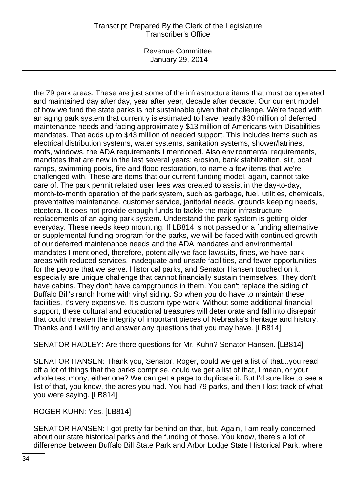Revenue Committee January 29, 2014

the 79 park areas. These are just some of the infrastructure items that must be operated and maintained day after day, year after year, decade after decade. Our current model of how we fund the state parks is not sustainable given that challenge. We're faced with an aging park system that currently is estimated to have nearly \$30 million of deferred maintenance needs and facing approximately \$13 million of Americans with Disabilities mandates. That adds up to \$43 million of needed support. This includes items such as electrical distribution systems, water systems, sanitation systems, shower/latrines, roofs, windows, the ADA requirements I mentioned. Also environmental requirements, mandates that are new in the last several years: erosion, bank stabilization, silt, boat ramps, swimming pools, fire and flood restoration, to name a few items that we're challenged with. These are items that our current funding model, again, cannot take care of. The park permit related user fees was created to assist in the day-to-day, month-to-month operation of the park system, such as garbage, fuel, utilities, chemicals, preventative maintenance, customer service, janitorial needs, grounds keeping needs, etcetera. It does not provide enough funds to tackle the major infrastructure replacements of an aging park system. Understand the park system is getting older everyday. These needs keep mounting. If LB814 is not passed or a funding alternative or supplemental funding program for the parks, we will be faced with continued growth of our deferred maintenance needs and the ADA mandates and environmental mandates I mentioned, therefore, potentially we face lawsuits, fines, we have park areas with reduced services, inadequate and unsafe facilities, and fewer opportunities for the people that we serve. Historical parks, and Senator Hansen touched on it, especially are unique challenge that cannot financially sustain themselves. They don't have cabins. They don't have campgrounds in them. You can't replace the siding of Buffalo Bill's ranch home with vinyl siding. So when you do have to maintain these facilities, it's very expensive. It's custom-type work. Without some additional financial support, these cultural and educational treasures will deteriorate and fall into disrepair that could threaten the integrity of important pieces of Nebraska's heritage and history. Thanks and I will try and answer any questions that you may have. [LB814]

SENATOR HADLEY: Are there questions for Mr. Kuhn? Senator Hansen. [LB814]

SENATOR HANSEN: Thank you, Senator. Roger, could we get a list of that...you read off a lot of things that the parks comprise, could we get a list of that, I mean, or your whole testimony, either one? We can get a page to duplicate it. But I'd sure like to see a list of that, you know, the acres you had. You had 79 parks, and then I lost track of what you were saying. [LB814]

ROGER KUHN: Yes. [LB814]

SENATOR HANSEN: I got pretty far behind on that, but. Again, I am really concerned about our state historical parks and the funding of those. You know, there's a lot of difference between Buffalo Bill State Park and Arbor Lodge State Historical Park, where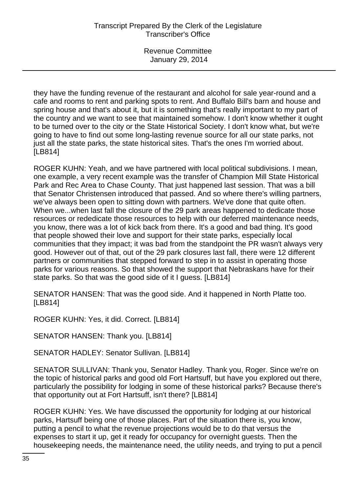they have the funding revenue of the restaurant and alcohol for sale year-round and a cafe and rooms to rent and parking spots to rent. And Buffalo Bill's barn and house and spring house and that's about it, but it is something that's really important to my part of the country and we want to see that maintained somehow. I don't know whether it ought to be turned over to the city or the State Historical Society. I don't know what, but we're going to have to find out some long-lasting revenue source for all our state parks, not just all the state parks, the state historical sites. That's the ones I'm worried about. [LB814]

ROGER KUHN: Yeah, and we have partnered with local political subdivisions. I mean, one example, a very recent example was the transfer of Champion Mill State Historical Park and Rec Area to Chase County. That just happened last session. That was a bill that Senator Christensen introduced that passed. And so where there's willing partners, we've always been open to sitting down with partners. We've done that quite often. When we...when last fall the closure of the 29 park areas happened to dedicate those resources or rededicate those resources to help with our deferred maintenance needs, you know, there was a lot of kick back from there. It's a good and bad thing. It's good that people showed their love and support for their state parks, especially local communities that they impact; it was bad from the standpoint the PR wasn't always very good. However out of that, out of the 29 park closures last fall, there were 12 different partners or communities that stepped forward to step in to assist in operating those parks for various reasons. So that showed the support that Nebraskans have for their state parks. So that was the good side of it I guess. [LB814]

SENATOR HANSEN: That was the good side. And it happened in North Platte too. [LB814]

ROGER KUHN: Yes, it did. Correct. [LB814]

SENATOR HANSEN: Thank you. [LB814]

SENATOR HADLEY: Senator Sullivan. [LB814]

SENATOR SULLIVAN: Thank you, Senator Hadley. Thank you, Roger. Since we're on the topic of historical parks and good old Fort Hartsuff, but have you explored out there, particularly the possibility for lodging in some of these historical parks? Because there's that opportunity out at Fort Hartsuff, isn't there? [LB814]

ROGER KUHN: Yes. We have discussed the opportunity for lodging at our historical parks, Hartsuff being one of those places. Part of the situation there is, you know, putting a pencil to what the revenue projections would be to do that versus the expenses to start it up, get it ready for occupancy for overnight guests. Then the housekeeping needs, the maintenance need, the utility needs, and trying to put a pencil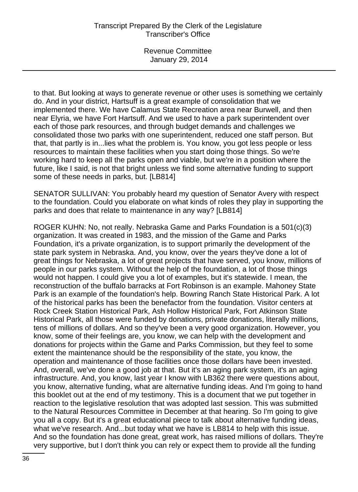to that. But looking at ways to generate revenue or other uses is something we certainly do. And in your district, Hartsuff is a great example of consolidation that we implemented there. We have Calamus State Recreation area near Burwell, and then near Elyria, we have Fort Hartsuff. And we used to have a park superintendent over each of those park resources, and through budget demands and challenges we consolidated those two parks with one superintendent, reduced one staff person. But that, that partly is in...lies what the problem is. You know, you got less people or less resources to maintain these facilities when you start doing those things. So we're working hard to keep all the parks open and viable, but we're in a position where the future, like I said, is not that bright unless we find some alternative funding to support some of these needs in parks, but. [LB814]

SENATOR SULLIVAN: You probably heard my question of Senator Avery with respect to the foundation. Could you elaborate on what kinds of roles they play in supporting the parks and does that relate to maintenance in any way? [LB814]

ROGER KUHN: No, not really. Nebraska Game and Parks Foundation is a 501(c)(3) organization. It was created in 1983, and the mission of the Game and Parks Foundation, it's a private organization, is to support primarily the development of the state park system in Nebraska. And, you know, over the years they've done a lot of great things for Nebraska, a lot of great projects that have served, you know, millions of people in our parks system. Without the help of the foundation, a lot of those things would not happen. I could give you a lot of examples, but it's statewide. I mean, the reconstruction of the buffalo barracks at Fort Robinson is an example. Mahoney State Park is an example of the foundation's help. Bowring Ranch State Historical Park. A lot of the historical parks has been the benefactor from the foundation. Visitor centers at Rock Creek Station Historical Park, Ash Hollow Historical Park, Fort Atkinson State Historical Park, all those were funded by donations, private donations, literally millions, tens of millions of dollars. And so they've been a very good organization. However, you know, some of their feelings are, you know, we can help with the development and donations for projects within the Game and Parks Commission, but they feel to some extent the maintenance should be the responsibility of the state, you know, the operation and maintenance of those facilities once those dollars have been invested. And, overall, we've done a good job at that. But it's an aging park system, it's an aging infrastructure. And, you know, last year I know with LB362 there were questions about, you know, alternative funding, what are alternative funding ideas. And I'm going to hand this booklet out at the end of my testimony. This is a document that we put together in reaction to the legislative resolution that was adopted last session. This was submitted to the Natural Resources Committee in December at that hearing. So I'm going to give you all a copy. But it's a great educational piece to talk about alternative funding ideas, what we've research. And...but today what we have is LB814 to help with this issue. And so the foundation has done great, great work, has raised millions of dollars. They're very supportive, but I don't think you can rely or expect them to provide all the funding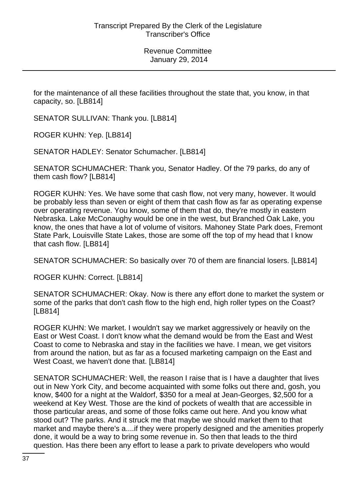for the maintenance of all these facilities throughout the state that, you know, in that capacity, so. [LB814]

SENATOR SULLIVAN: Thank you. [LB814]

ROGER KUHN: Yep. [LB814]

SENATOR HADLEY: Senator Schumacher. [LB814]

SENATOR SCHUMACHER: Thank you, Senator Hadley. Of the 79 parks, do any of them cash flow? [LB814]

ROGER KUHN: Yes. We have some that cash flow, not very many, however. It would be probably less than seven or eight of them that cash flow as far as operating expense over operating revenue. You know, some of them that do, they're mostly in eastern Nebraska. Lake McConaughy would be one in the west, but Branched Oak Lake, you know, the ones that have a lot of volume of visitors. Mahoney State Park does, Fremont State Park, Louisville State Lakes, those are some off the top of my head that I know that cash flow. [LB814]

SENATOR SCHUMACHER: So basically over 70 of them are financial losers. [LB814]

ROGER KUHN: Correct. [LB814]

SENATOR SCHUMACHER: Okay. Now is there any effort done to market the system or some of the parks that don't cash flow to the high end, high roller types on the Coast? [LB814]

ROGER KUHN: We market. I wouldn't say we market aggressively or heavily on the East or West Coast. I don't know what the demand would be from the East and West Coast to come to Nebraska and stay in the facilities we have. I mean, we get visitors from around the nation, but as far as a focused marketing campaign on the East and West Coast, we haven't done that. [LB814]

SENATOR SCHUMACHER: Well, the reason I raise that is I have a daughter that lives out in New York City, and become acquainted with some folks out there and, gosh, you know, \$400 for a night at the Waldorf, \$350 for a meal at Jean-Georges, \$2,500 for a weekend at Key West. Those are the kind of pockets of wealth that are accessible in those particular areas, and some of those folks came out here. And you know what stood out? The parks. And it struck me that maybe we should market them to that market and maybe there's a....if they were properly designed and the amenities properly done, it would be a way to bring some revenue in. So then that leads to the third question. Has there been any effort to lease a park to private developers who would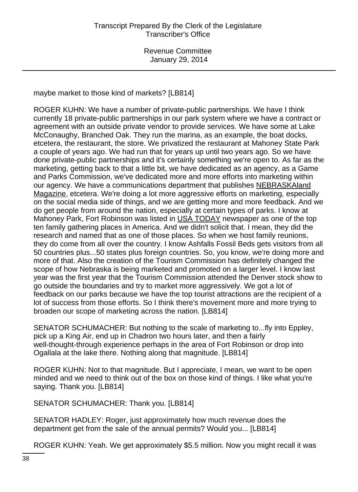maybe market to those kind of markets? [LB814]

ROGER KUHN: We have a number of private-public partnerships. We have I think currently 18 private-public partnerships in our park system where we have a contract or agreement with an outside private vendor to provide services. We have some at Lake McConaughy, Branched Oak. They run the marina, as an example, the boat docks, etcetera, the restaurant, the store. We privatized the restaurant at Mahoney State Park a couple of years ago. We had run that for years up until two years ago. So we have done private-public partnerships and it's certainly something we're open to. As far as the marketing, getting back to that a little bit, we have dedicated as an agency, as a Game and Parks Commission, we've dedicated more and more efforts into marketing within our agency. We have a communications department that publishes NEBRASKAland Magazine, etcetera. We're doing a lot more aggressive efforts on marketing, especially on the social media side of things, and we are getting more and more feedback. And we do get people from around the nation, especially at certain types of parks. I know at Mahoney Park, Fort Robinson was listed in USA TODAY newspaper as one of the top ten family gathering places in America. And we didn't solicit that. I mean, they did the research and named that as one of those places. So when we host family reunions, they do come from all over the country. I know Ashfalls Fossil Beds gets visitors from all 50 countries plus...50 states plus foreign countries. So, you know, we're doing more and more of that. Also the creation of the Tourism Commission has definitely changed the scope of how Nebraska is being marketed and promoted on a larger level. I know last year was the first year that the Tourism Commission attended the Denver stock show to go outside the boundaries and try to market more aggressively. We got a lot of feedback on our parks because we have the top tourist attractions are the recipient of a lot of success from those efforts. So I think there's movement more and more trying to broaden our scope of marketing across the nation. [LB814]

SENATOR SCHUMACHER: But nothing to the scale of marketing to...fly into Eppley, pick up a King Air, end up in Chadron two hours later, and then a fairly well-thought-through experience perhaps in the area of Fort Robinson or drop into Ogallala at the lake there. Nothing along that magnitude. [LB814]

ROGER KUHN: Not to that magnitude. But I appreciate, I mean, we want to be open minded and we need to think out of the box on those kind of things. I like what you're saying. Thank you. [LB814]

SENATOR SCHUMACHER: Thank you. [LB814]

SENATOR HADLEY: Roger, just approximately how much revenue does the department get from the sale of the annual permits? Would you... [LB814]

ROGER KUHN: Yeah. We get approximately \$5.5 million. Now you might recall it was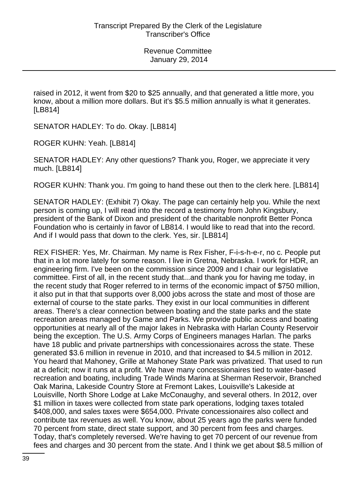raised in 2012, it went from \$20 to \$25 annually, and that generated a little more, you know, about a million more dollars. But it's \$5.5 million annually is what it generates. [LB814]

SENATOR HADLEY: To do. Okay. [LB814]

ROGER KUHN: Yeah. [LB814]

SENATOR HADLEY: Any other questions? Thank you, Roger, we appreciate it very much. [LB814]

ROGER KUHN: Thank you. I'm going to hand these out then to the clerk here. [LB814]

SENATOR HADLEY: (Exhibit 7) Okay. The page can certainly help you. While the next person is coming up, I will read into the record a testimony from John Kingsbury, president of the Bank of Dixon and president of the charitable nonprofit Better Ponca Foundation who is certainly in favor of LB814. I would like to read that into the record. And if I would pass that down to the clerk. Yes, sir. [LB814]

REX FISHER: Yes, Mr. Chairman. My name is Rex Fisher, F-i-s-h-e-r, no c. People put that in a lot more lately for some reason. I live in Gretna, Nebraska. I work for HDR, an engineering firm. I've been on the commission since 2009 and I chair our legislative committee. First of all, in the recent study that...and thank you for having me today, in the recent study that Roger referred to in terms of the economic impact of \$750 million, it also put in that that supports over 8,000 jobs across the state and most of those are external of course to the state parks. They exist in our local communities in different areas. There's a clear connection between boating and the state parks and the state recreation areas managed by Game and Parks. We provide public access and boating opportunities at nearly all of the major lakes in Nebraska with Harlan County Reservoir being the exception. The U.S. Army Corps of Engineers manages Harlan. The parks have 18 public and private partnerships with concessionaires across the state. These generated \$3.6 million in revenue in 2010, and that increased to \$4.5 million in 2012. You heard that Mahoney, Grille at Mahoney State Park was privatized. That used to run at a deficit; now it runs at a profit. We have many concessionaires tied to water-based recreation and boating, including Trade Winds Marina at Sherman Reservoir, Branched Oak Marina, Lakeside Country Store at Fremont Lakes, Louisville's Lakeside at Louisville, North Shore Lodge at Lake McConaughy, and several others. In 2012, over \$1 million in taxes were collected from state park operations, lodging taxes totaled \$408,000, and sales taxes were \$654,000. Private concessionaires also collect and contribute tax revenues as well. You know, about 25 years ago the parks were funded 70 percent from state, direct state support, and 30 percent from fees and charges. Today, that's completely reversed. We're having to get 70 percent of our revenue from fees and charges and 30 percent from the state. And I think we get about \$8.5 million of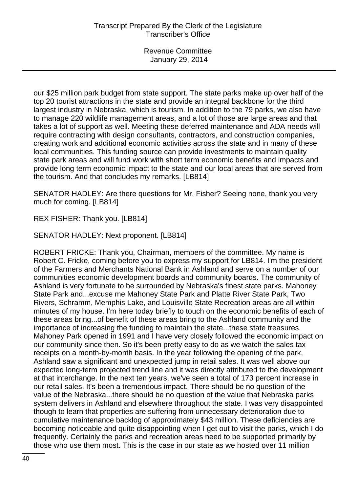our \$25 million park budget from state support. The state parks make up over half of the top 20 tourist attractions in the state and provide an integral backbone for the third largest industry in Nebraska, which is tourism. In addition to the 79 parks, we also have to manage 220 wildlife management areas, and a lot of those are large areas and that takes a lot of support as well. Meeting these deferred maintenance and ADA needs will require contracting with design consultants, contractors, and construction companies, creating work and additional economic activities across the state and in many of these local communities. This funding source can provide investments to maintain quality state park areas and will fund work with short term economic benefits and impacts and provide long term economic impact to the state and our local areas that are served from the tourism. And that concludes my remarks. [LB814]

SENATOR HADLEY: Are there questions for Mr. Fisher? Seeing none, thank you very much for coming. [LB814]

REX FISHER: Thank you. [LB814]

SENATOR HADLEY: Next proponent. [LB814]

ROBERT FRICKE: Thank you, Chairman, members of the committee. My name is Robert C. Fricke, coming before you to express my support for LB814. I'm the president of the Farmers and Merchants National Bank in Ashland and serve on a number of our communities economic development boards and community boards. The community of Ashland is very fortunate to be surrounded by Nebraska's finest state parks. Mahoney State Park and...excuse me Mahoney State Park and Platte River State Park, Two Rivers, Schramm, Memphis Lake, and Louisville State Recreation areas are all within minutes of my house. I'm here today briefly to touch on the economic benefits of each of these areas bring...of benefit of these areas bring to the Ashland community and the importance of increasing the funding to maintain the state...these state treasures. Mahoney Park opened in 1991 and I have very closely followed the economic impact on our community since then. So it's been pretty easy to do as we watch the sales tax receipts on a month-by-month basis. In the year following the opening of the park, Ashland saw a significant and unexpected jump in retail sales. It was well above our expected long-term projected trend line and it was directly attributed to the development at that interchange. In the next ten years, we've seen a total of 173 percent increase in our retail sales. It's been a tremendous impact. There should be no question of the value of the Nebraska...there should be no question of the value that Nebraska parks system delivers in Ashland and elsewhere throughout the state. I was very disappointed though to learn that properties are suffering from unnecessary deterioration due to cumulative maintenance backlog of approximately \$43 million. These deficiencies are becoming noticeable and quite disappointing when I get out to visit the parks, which I do frequently. Certainly the parks and recreation areas need to be supported primarily by those who use them most. This is the case in our state as we hosted over 11 million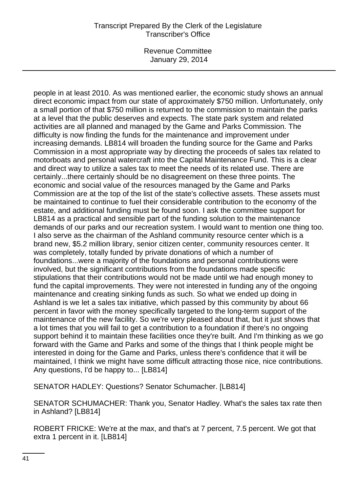Revenue Committee January 29, 2014

people in at least 2010. As was mentioned earlier, the economic study shows an annual direct economic impact from our state of approximately \$750 million. Unfortunately, only a small portion of that \$750 million is returned to the commission to maintain the parks at a level that the public deserves and expects. The state park system and related activities are all planned and managed by the Game and Parks Commission. The difficulty is now finding the funds for the maintenance and improvement under increasing demands. LB814 will broaden the funding source for the Game and Parks Commission in a most appropriate way by directing the proceeds of sales tax related to motorboats and personal watercraft into the Capital Maintenance Fund. This is a clear and direct way to utilize a sales tax to meet the needs of its related use. There are certainly...there certainly should be no disagreement on these three points. The economic and social value of the resources managed by the Game and Parks Commission are at the top of the list of the state's collective assets. These assets must be maintained to continue to fuel their considerable contribution to the economy of the estate, and additional funding must be found soon. I ask the committee support for LB814 as a practical and sensible part of the funding solution to the maintenance demands of our parks and our recreation system. I would want to mention one thing too. I also serve as the chairman of the Ashland community resource center which is a brand new, \$5.2 million library, senior citizen center, community resources center. It was completely, totally funded by private donations of which a number of foundations...were a majority of the foundations and personal contributions were involved, but the significant contributions from the foundations made specific stipulations that their contributions would not be made until we had enough money to fund the capital improvements. They were not interested in funding any of the ongoing maintenance and creating sinking funds as such. So what we ended up doing in Ashland is we let a sales tax initiative, which passed by this community by about 66 percent in favor with the money specifically targeted to the long-term support of the maintenance of the new facility. So we're very pleased about that, but it just shows that a lot times that you will fail to get a contribution to a foundation if there's no ongoing support behind it to maintain these facilities once they're built. And I'm thinking as we go forward with the Game and Parks and some of the things that I think people might be interested in doing for the Game and Parks, unless there's confidence that it will be maintained, I think we might have some difficult attracting those nice, nice contributions. Any questions, I'd be happy to... [LB814]

SENATOR HADLEY: Questions? Senator Schumacher. [LB814]

SENATOR SCHUMACHER: Thank you, Senator Hadley. What's the sales tax rate then in Ashland? [LB814]

ROBERT FRICKE: We're at the max, and that's at 7 percent, 7.5 percent. We got that extra 1 percent in it. [LB814]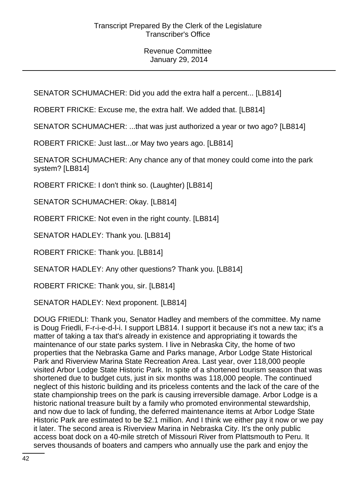SENATOR SCHUMACHER: Did you add the extra half a percent... [LB814]

ROBERT FRICKE: Excuse me, the extra half. We added that. [LB814]

SENATOR SCHUMACHER: ...that was just authorized a year or two ago? [LB814]

ROBERT FRICKE: Just last...or May two years ago. [LB814]

SENATOR SCHUMACHER: Any chance any of that money could come into the park system? [LB814]

ROBERT FRICKE: I don't think so. (Laughter) [LB814]

SENATOR SCHUMACHER: Okay. [LB814]

ROBERT FRICKE: Not even in the right county. [LB814]

SENATOR HADLEY: Thank you. [LB814]

ROBERT FRICKE: Thank you. [LB814]

SENATOR HADLEY: Any other questions? Thank you. [LB814]

ROBERT FRICKE: Thank you, sir. [LB814]

SENATOR HADLEY: Next proponent. [LB814]

DOUG FRIEDLI: Thank you, Senator Hadley and members of the committee. My name is Doug Friedli, F-r-i-e-d-l-i. I support LB814. I support it because it's not a new tax; it's a matter of taking a tax that's already in existence and appropriating it towards the maintenance of our state parks system. I live in Nebraska City, the home of two properties that the Nebraska Game and Parks manage, Arbor Lodge State Historical Park and Riverview Marina State Recreation Area. Last year, over 118,000 people visited Arbor Lodge State Historic Park. In spite of a shortened tourism season that was shortened due to budget cuts, just in six months was 118,000 people. The continued neglect of this historic building and its priceless contents and the lack of the care of the state championship trees on the park is causing irreversible damage. Arbor Lodge is a historic national treasure built by a family who promoted environmental stewardship, and now due to lack of funding, the deferred maintenance items at Arbor Lodge State Historic Park are estimated to be \$2.1 million. And I think we either pay it now or we pay it later. The second area is Riverview Marina in Nebraska City. It's the only public access boat dock on a 40-mile stretch of Missouri River from Plattsmouth to Peru. It serves thousands of boaters and campers who annually use the park and enjoy the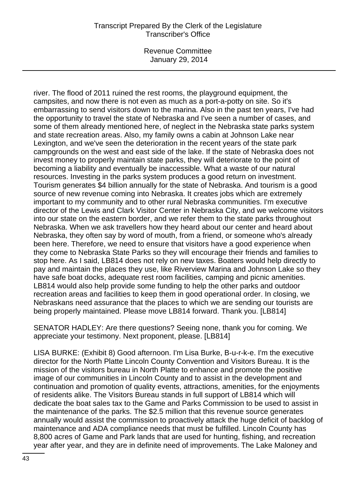Revenue Committee January 29, 2014

river. The flood of 2011 ruined the rest rooms, the playground equipment, the campsites, and now there is not even as much as a port-a-potty on site. So it's embarrassing to send visitors down to the marina. Also in the past ten years, I've had the opportunity to travel the state of Nebraska and I've seen a number of cases, and some of them already mentioned here, of neglect in the Nebraska state parks system and state recreation areas. Also, my family owns a cabin at Johnson Lake near Lexington, and we've seen the deterioration in the recent years of the state park campgrounds on the west and east side of the lake. If the state of Nebraska does not invest money to properly maintain state parks, they will deteriorate to the point of becoming a liability and eventually be inaccessible. What a waste of our natural resources. Investing in the parks system produces a good return on investment. Tourism generates \$4 billion annually for the state of Nebraska. And tourism is a good source of new revenue coming into Nebraska. It creates jobs which are extremely important to my community and to other rural Nebraska communities. I'm executive director of the Lewis and Clark Visitor Center in Nebraska City, and we welcome visitors into our state on the eastern border, and we refer them to the state parks throughout Nebraska. When we ask travellers how they heard about our center and heard about Nebraska, they often say by word of mouth, from a friend, or someone who's already been here. Therefore, we need to ensure that visitors have a good experience when they come to Nebraska State Parks so they will encourage their friends and families to stop here. As I said, LB814 does not rely on new taxes. Boaters would help directly to pay and maintain the places they use, like Riverview Marina and Johnson Lake so they have safe boat docks, adequate rest room facilities, camping and picnic amenities. LB814 would also help provide some funding to help the other parks and outdoor recreation areas and facilities to keep them in good operational order. In closing, we Nebraskans need assurance that the places to which we are sending our tourists are being properly maintained. Please move LB814 forward. Thank you. [LB814]

SENATOR HADLEY: Are there questions? Seeing none, thank you for coming. We appreciate your testimony. Next proponent, please. [LB814]

LISA BURKE: (Exhibit 8) Good afternoon. I'm Lisa Burke, B-u-r-k-e. I'm the executive director for the North Platte Lincoln County Convention and Visitors Bureau. It is the mission of the visitors bureau in North Platte to enhance and promote the positive image of our communities in Lincoln County and to assist in the development and continuation and promotion of quality events, attractions, amenities, for the enjoyments of residents alike. The Visitors Bureau stands in full support of LB814 which will dedicate the boat sales tax to the Game and Parks Commission to be used to assist in the maintenance of the parks. The \$2.5 million that this revenue source generates annually would assist the commission to proactively attack the huge deficit of backlog of maintenance and ADA compliance needs that must be fulfilled. Lincoln County has 8,800 acres of Game and Park lands that are used for hunting, fishing, and recreation year after year, and they are in definite need of improvements. The Lake Maloney and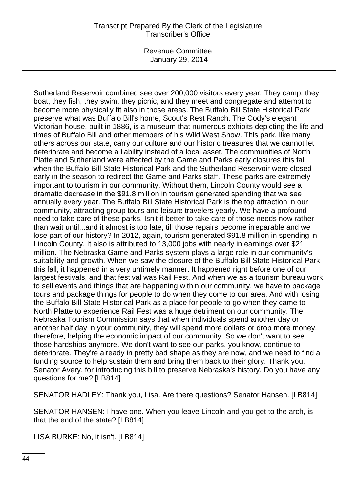Revenue Committee January 29, 2014

Sutherland Reservoir combined see over 200,000 visitors every year. They camp, they boat, they fish, they swim, they picnic, and they meet and congregate and attempt to become more physically fit also in those areas. The Buffalo Bill State Historical Park preserve what was Buffalo Bill's home, Scout's Rest Ranch. The Cody's elegant Victorian house, built in 1886, is a museum that numerous exhibits depicting the life and times of Buffalo Bill and other members of his Wild West Show. This park, like many others across our state, carry our culture and our historic treasures that we cannot let deteriorate and become a liability instead of a local asset. The communities of North Platte and Sutherland were affected by the Game and Parks early closures this fall when the Buffalo Bill State Historical Park and the Sutherland Reservoir were closed early in the season to redirect the Game and Parks staff. These parks are extremely important to tourism in our community. Without them, Lincoln County would see a dramatic decrease in the \$91.8 million in tourism generated spending that we see annually every year. The Buffalo Bill State Historical Park is the top attraction in our community, attracting group tours and leisure travelers yearly. We have a profound need to take care of these parks. Isn't it better to take care of those needs now rather than wait until...and it almost is too late, till those repairs become irreparable and we lose part of our history? In 2012, again, tourism generated \$91.8 million in spending in Lincoln County. It also is attributed to 13,000 jobs with nearly in earnings over \$21 million. The Nebraska Game and Parks system plays a large role in our community's suitability and growth. When we saw the closure of the Buffalo Bill State Historical Park this fall, it happened in a very untimely manner. It happened right before one of our largest festivals, and that festival was Rail Fest. And when we as a tourism bureau work to sell events and things that are happening within our community, we have to package tours and package things for people to do when they come to our area. And with losing the Buffalo Bill State Historical Park as a place for people to go when they came to North Platte to experience Rail Fest was a huge detriment on our community. The Nebraska Tourism Commission says that when individuals spend another day or another half day in your community, they will spend more dollars or drop more money, therefore, helping the economic impact of our community. So we don't want to see those hardships anymore. We don't want to see our parks, you know, continue to deteriorate. They're already in pretty bad shape as they are now, and we need to find a funding source to help sustain them and bring them back to their glory. Thank you, Senator Avery, for introducing this bill to preserve Nebraska's history. Do you have any questions for me? [LB814]

SENATOR HADLEY: Thank you, Lisa. Are there questions? Senator Hansen. [LB814]

SENATOR HANSEN: I have one. When you leave Lincoln and you get to the arch, is that the end of the state? [LB814]

LISA BURKE: No, it isn't. [LB814]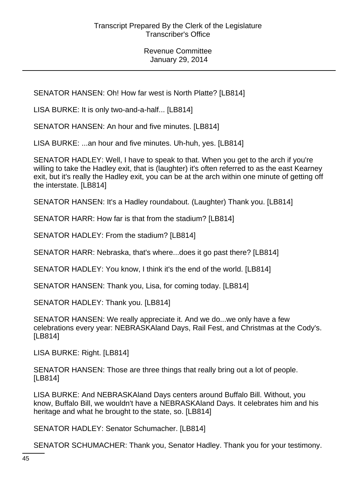SENATOR HANSEN: Oh! How far west is North Platte? [LB814]

LISA BURKE: It is only two-and-a-half... [LB814]

SENATOR HANSEN: An hour and five minutes. [LB814]

LISA BURKE: ...an hour and five minutes. Uh-huh, yes. [LB814]

SENATOR HADLEY: Well, I have to speak to that. When you get to the arch if you're willing to take the Hadley exit, that is (laughter) it's often referred to as the east Kearney exit, but it's really the Hadley exit, you can be at the arch within one minute of getting off the interstate. [LB814]

SENATOR HANSEN: It's a Hadley roundabout. (Laughter) Thank you. [LB814]

SENATOR HARR: How far is that from the stadium? [LB814]

SENATOR HADLEY: From the stadium? [LB814]

SENATOR HARR: Nebraska, that's where...does it go past there? [LB814]

SENATOR HADLEY: You know, I think it's the end of the world. [LB814]

SENATOR HANSEN: Thank you, Lisa, for coming today. [LB814]

SENATOR HADLEY: Thank you. [LB814]

SENATOR HANSEN: We really appreciate it. And we do...we only have a few celebrations every year: NEBRASKAland Days, Rail Fest, and Christmas at the Cody's. [LB814]

LISA BURKE: Right. [LB814]

SENATOR HANSEN: Those are three things that really bring out a lot of people. [LB814]

LISA BURKE: And NEBRASKAland Days centers around Buffalo Bill. Without, you know, Buffalo Bill, we wouldn't have a NEBRASKAland Days. It celebrates him and his heritage and what he brought to the state, so. [LB814]

SENATOR HADLEY: Senator Schumacher. [LB814]

SENATOR SCHUMACHER: Thank you, Senator Hadley. Thank you for your testimony.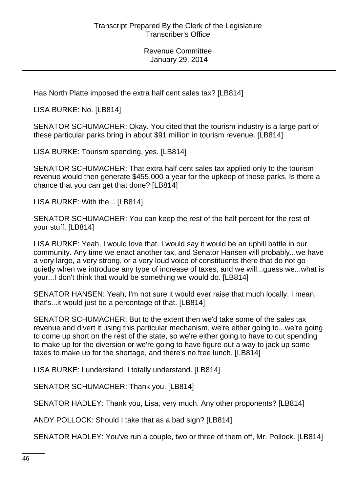Has North Platte imposed the extra half cent sales tax? [LB814]

LISA BURKE: No. [LB814]

SENATOR SCHUMACHER: Okay. You cited that the tourism industry is a large part of these particular parks bring in about \$91 million in tourism revenue. [LB814]

LISA BURKE: Tourism spending, yes. [LB814]

SENATOR SCHUMACHER: That extra half cent sales tax applied only to the tourism revenue would then generate \$455,000 a year for the upkeep of these parks. Is there a chance that you can get that done? [LB814]

LISA BURKE: With the... [LB814]

SENATOR SCHUMACHER: You can keep the rest of the half percent for the rest of your stuff. [LB814]

LISA BURKE: Yeah, I would love that. I would say it would be an uphill battle in our community. Any time we enact another tax, and Senator Hansen will probably...we have a very large, a very strong, or a very loud voice of constituents there that do not go quietly when we introduce any type of increase of taxes, and we will...guess we...what is your...I don't think that would be something we would do. [LB814]

SENATOR HANSEN: Yeah, I'm not sure it would ever raise that much locally. I mean, that's...it would just be a percentage of that. [LB814]

SENATOR SCHUMACHER: But to the extent then we'd take some of the sales tax revenue and divert it using this particular mechanism, we're either going to...we're going to come up short on the rest of the state, so we're either going to have to cut spending to make up for the diversion or we're going to have figure out a way to jack up some taxes to make up for the shortage, and there's no free lunch. [LB814]

LISA BURKE: I understand. I totally understand. [LB814]

SENATOR SCHUMACHER: Thank you. [LB814]

SENATOR HADLEY: Thank you, Lisa, very much. Any other proponents? [LB814]

ANDY POLLOCK: Should I take that as a bad sign? [LB814]

SENATOR HADLEY: You've run a couple, two or three of them off, Mr. Pollock. [LB814]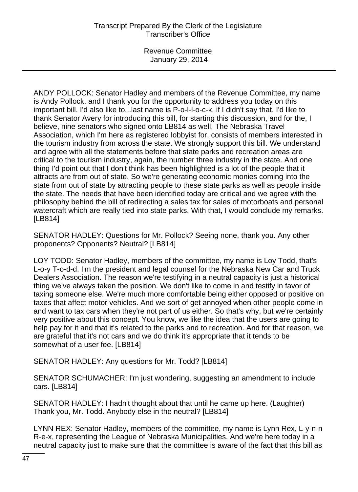ANDY POLLOCK: Senator Hadley and members of the Revenue Committee, my name is Andy Pollock, and I thank you for the opportunity to address you today on this important bill. I'd also like to...last name is P-o-l-l-o-c-k, if I didn't say that, I'd like to thank Senator Avery for introducing this bill, for starting this discussion, and for the, I believe, nine senators who signed onto LB814 as well. The Nebraska Travel Association, which I'm here as registered lobbyist for, consists of members interested in the tourism industry from across the state. We strongly support this bill. We understand and agree with all the statements before that state parks and recreation areas are critical to the tourism industry, again, the number three industry in the state. And one thing I'd point out that I don't think has been highlighted is a lot of the people that it attracts are from out of state. So we're generating economic monies coming into the state from out of state by attracting people to these state parks as well as people inside the state. The needs that have been identified today are critical and we agree with the philosophy behind the bill of redirecting a sales tax for sales of motorboats and personal watercraft which are really tied into state parks. With that, I would conclude my remarks. [LB814]

SENATOR HADLEY: Questions for Mr. Pollock? Seeing none, thank you. Any other proponents? Opponents? Neutral? [LB814]

LOY TODD: Senator Hadley, members of the committee, my name is Loy Todd, that's L-o-y T-o-d-d. I'm the president and legal counsel for the Nebraska New Car and Truck Dealers Association. The reason we're testifying in a neutral capacity is just a historical thing we've always taken the position. We don't like to come in and testify in favor of taxing someone else. We're much more comfortable being either opposed or positive on taxes that affect motor vehicles. And we sort of get annoyed when other people come in and want to tax cars when they're not part of us either. So that's why, but we're certainly very positive about this concept. You know, we like the idea that the users are going to help pay for it and that it's related to the parks and to recreation. And for that reason, we are grateful that it's not cars and we do think it's appropriate that it tends to be somewhat of a user fee. [LB814]

SENATOR HADLEY: Any questions for Mr. Todd? [LB814]

SENATOR SCHUMACHER: I'm just wondering, suggesting an amendment to include cars. [LB814]

SENATOR HADLEY: I hadn't thought about that until he came up here. (Laughter) Thank you, Mr. Todd. Anybody else in the neutral? [LB814]

LYNN REX: Senator Hadley, members of the committee, my name is Lynn Rex, L-y-n-n R-e-x, representing the League of Nebraska Municipalities. And we're here today in a neutral capacity just to make sure that the committee is aware of the fact that this bill as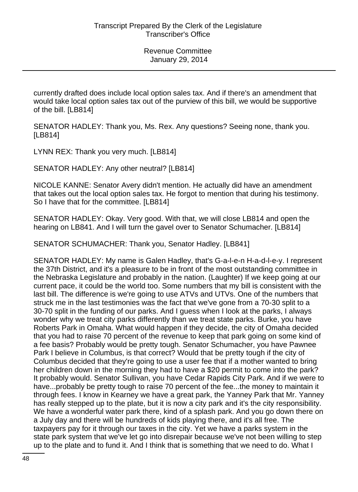currently drafted does include local option sales tax. And if there's an amendment that would take local option sales tax out of the purview of this bill, we would be supportive of the bill. [LB814]

SENATOR HADLEY: Thank you, Ms. Rex. Any questions? Seeing none, thank you. [LB814]

LYNN REX: Thank you very much. [LB814]

SENATOR HADLEY: Any other neutral? [LB814]

NICOLE KANNE: Senator Avery didn't mention. He actually did have an amendment that takes out the local option sales tax. He forgot to mention that during his testimony. So I have that for the committee. [LB814]

SENATOR HADLEY: Okay. Very good. With that, we will close LB814 and open the hearing on LB841. And I will turn the gavel over to Senator Schumacher. [LB814]

SENATOR SCHUMACHER: Thank you, Senator Hadley. [LB841]

SENATOR HADLEY: My name is Galen Hadley, that's G-a-l-e-n H-a-d-l-e-y. I represent the 37th District, and it's a pleasure to be in front of the most outstanding committee in the Nebraska Legislature and probably in the nation. (Laughter) If we keep going at our current pace, it could be the world too. Some numbers that my bill is consistent with the last bill. The difference is we're going to use ATVs and UTVs. One of the numbers that struck me in the last testimonies was the fact that we've gone from a 70-30 split to a 30-70 split in the funding of our parks. And I guess when I look at the parks, I always wonder why we treat city parks differently than we treat state parks. Burke, you have Roberts Park in Omaha. What would happen if they decide, the city of Omaha decided that you had to raise 70 percent of the revenue to keep that park going on some kind of a fee basis? Probably would be pretty tough. Senator Schumacher, you have Pawnee Park I believe in Columbus, is that correct? Would that be pretty tough if the city of Columbus decided that they're going to use a user fee that if a mother wanted to bring her children down in the morning they had to have a \$20 permit to come into the park? It probably would. Senator Sullivan, you have Cedar Rapids City Park. And if we were to have...probably be pretty tough to raise 70 percent of the fee...the money to maintain it through fees. I know in Kearney we have a great park, the Yanney Park that Mr. Yanney has really stepped up to the plate, but it is now a city park and it's the city responsibility. We have a wonderful water park there, kind of a splash park. And you go down there on a July day and there will be hundreds of kids playing there, and it's all free. The taxpayers pay for it through our taxes in the city. Yet we have a parks system in the state park system that we've let go into disrepair because we've not been willing to step up to the plate and to fund it. And I think that is something that we need to do. What I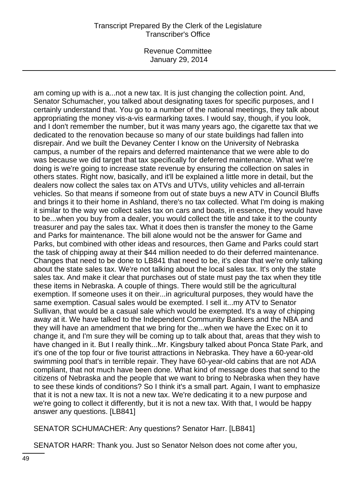Revenue Committee January 29, 2014

am coming up with is a...not a new tax. It is just changing the collection point. And, Senator Schumacher, you talked about designating taxes for specific purposes, and I certainly understand that. You go to a number of the national meetings, they talk about appropriating the money vis-a-vis earmarking taxes. I would say, though, if you look, and I don't remember the number, but it was many years ago, the cigarette tax that we dedicated to the renovation because so many of our state buildings had fallen into disrepair. And we built the Devaney Center I know on the University of Nebraska campus, a number of the repairs and deferred maintenance that we were able to do was because we did target that tax specifically for deferred maintenance. What we're doing is we're going to increase state revenue by ensuring the collection on sales in others states. Right now, basically, and it'll be explained a little more in detail, but the dealers now collect the sales tax on ATVs and UTVs, utility vehicles and all-terrain vehicles. So that means if someone from out of state buys a new ATV in Council Bluffs and brings it to their home in Ashland, there's no tax collected. What I'm doing is making it similar to the way we collect sales tax on cars and boats, in essence, they would have to be...when you buy from a dealer, you would collect the title and take it to the county treasurer and pay the sales tax. What it does then is transfer the money to the Game and Parks for maintenance. The bill alone would not be the answer for Game and Parks, but combined with other ideas and resources, then Game and Parks could start the task of chipping away at their \$44 million needed to do their deferred maintenance. Changes that need to be done to LB841 that need to be, it's clear that we're only talking about the state sales tax. We're not talking about the local sales tax. It's only the state sales tax. And make it clear that purchases out of state must pay the tax when they title these items in Nebraska. A couple of things. There would still be the agricultural exemption. If someone uses it on their...in agricultural purposes, they would have the same exemption. Casual sales would be exempted. I sell it...my ATV to Senator Sullivan, that would be a casual sale which would be exempted. It's a way of chipping away at it. We have talked to the Independent Community Bankers and the NBA and they will have an amendment that we bring for the...when we have the Exec on it to change it, and I'm sure they will be coming up to talk about that, areas that they wish to have changed in it. But I really think...Mr. Kingsbury talked about Ponca State Park, and it's one of the top four or five tourist attractions in Nebraska. They have a 60-year-old swimming pool that's in terrible repair. They have 60-year-old cabins that are not ADA compliant, that not much have been done. What kind of message does that send to the citizens of Nebraska and the people that we want to bring to Nebraska when they have to see these kinds of conditions? So I think it's a small part. Again, I want to emphasize that it is not a new tax. It is not a new tax. We're dedicating it to a new purpose and we're going to collect it differently, but it is not a new tax. With that, I would be happy answer any questions. [LB841]

SENATOR SCHUMACHER: Any questions? Senator Harr. [LB841]

SENATOR HARR: Thank you. Just so Senator Nelson does not come after you,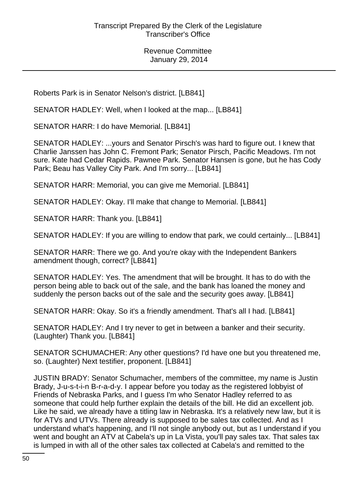Roberts Park is in Senator Nelson's district. [LB841]

SENATOR HADLEY: Well, when I looked at the map... [LB841]

SENATOR HARR: I do have Memorial. [LB841]

SENATOR HADLEY: ...yours and Senator Pirsch's was hard to figure out. I knew that Charlie Janssen has John C. Fremont Park; Senator Pirsch, Pacific Meadows. I'm not sure. Kate had Cedar Rapids. Pawnee Park. Senator Hansen is gone, but he has Cody Park; Beau has Valley City Park. And I'm sorry... [LB841]

SENATOR HARR: Memorial, you can give me Memorial. [LB841]

SENATOR HADLEY: Okay. I'll make that change to Memorial. [LB841]

SENATOR HARR: Thank you. [LB841]

SENATOR HADLEY: If you are willing to endow that park, we could certainly... [LB841]

SENATOR HARR: There we go. And you're okay with the Independent Bankers amendment though, correct? [LB841]

SENATOR HADLEY: Yes. The amendment that will be brought. It has to do with the person being able to back out of the sale, and the bank has loaned the money and suddenly the person backs out of the sale and the security goes away. [LB841]

SENATOR HARR: Okay. So it's a friendly amendment. That's all I had. [LB841]

SENATOR HADLEY: And I try never to get in between a banker and their security. (Laughter) Thank you. [LB841]

SENATOR SCHUMACHER: Any other questions? I'd have one but you threatened me, so. (Laughter) Next testifier, proponent. [LB841]

JUSTIN BRADY: Senator Schumacher, members of the committee, my name is Justin Brady, J-u-s-t-i-n B-r-a-d-y. I appear before you today as the registered lobbyist of Friends of Nebraska Parks, and I guess I'm who Senator Hadley referred to as someone that could help further explain the details of the bill. He did an excellent job. Like he said, we already have a titling law in Nebraska. It's a relatively new law, but it is for ATVs and UTVs. There already is supposed to be sales tax collected. And as I understand what's happening, and I'll not single anybody out, but as I understand if you went and bought an ATV at Cabela's up in La Vista, you'll pay sales tax. That sales tax is lumped in with all of the other sales tax collected at Cabela's and remitted to the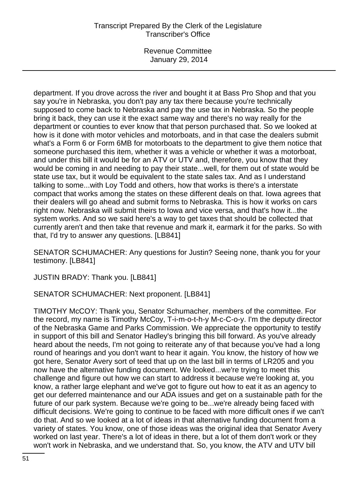Revenue Committee January 29, 2014

department. If you drove across the river and bought it at Bass Pro Shop and that you say you're in Nebraska, you don't pay any tax there because you're technically supposed to come back to Nebraska and pay the use tax in Nebraska. So the people bring it back, they can use it the exact same way and there's no way really for the department or counties to ever know that that person purchased that. So we looked at how is it done with motor vehicles and motorboats, and in that case the dealers submit what's a Form 6 or Form 6MB for motorboats to the department to give them notice that someone purchased this item, whether it was a vehicle or whether it was a motorboat, and under this bill it would be for an ATV or UTV and, therefore, you know that they would be coming in and needing to pay their state...well, for them out of state would be state use tax, but it would be equivalent to the state sales tax. And as I understand talking to some...with Loy Todd and others, how that works is there's a interstate compact that works among the states on these different deals on that. Iowa agrees that their dealers will go ahead and submit forms to Nebraska. This is how it works on cars right now. Nebraska will submit theirs to Iowa and vice versa, and that's how it...the system works. And so we said here's a way to get taxes that should be collected that currently aren't and then take that revenue and mark it, earmark it for the parks. So with that, I'd try to answer any questions. [LB841]

SENATOR SCHUMACHER: Any questions for Justin? Seeing none, thank you for your testimony. [LB841]

JUSTIN BRADY: Thank you. [LB841]

SENATOR SCHUMACHER: Next proponent. [LB841]

TIMOTHY McCOY: Thank you, Senator Schumacher, members of the committee. For the record, my name is Timothy McCoy, T-i-m-o-t-h-y M-c-C-o-y. I'm the deputy director of the Nebraska Game and Parks Commission. We appreciate the opportunity to testify in support of this bill and Senator Hadley's bringing this bill forward. As you've already heard about the needs, I'm not going to reiterate any of that because you've had a long round of hearings and you don't want to hear it again. You know, the history of how we got here, Senator Avery sort of teed that up on the last bill in terms of LR205 and you now have the alternative funding document. We looked...we're trying to meet this challenge and figure out how we can start to address it because we're looking at, you know, a rather large elephant and we've got to figure out how to eat it as an agency to get our deferred maintenance and our ADA issues and get on a sustainable path for the future of our park system. Because we're going to be...we're already being faced with difficult decisions. We're going to continue to be faced with more difficult ones if we can't do that. And so we looked at a lot of ideas in that alternative funding document from a variety of states. You know, one of those ideas was the original idea that Senator Avery worked on last year. There's a lot of ideas in there, but a lot of them don't work or they won't work in Nebraska, and we understand that. So, you know, the ATV and UTV bill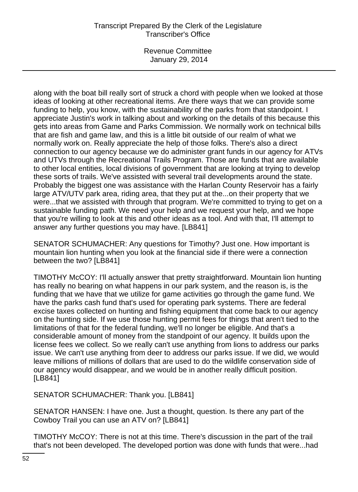Revenue Committee January 29, 2014

along with the boat bill really sort of struck a chord with people when we looked at those ideas of looking at other recreational items. Are there ways that we can provide some funding to help, you know, with the sustainability of the parks from that standpoint. I appreciate Justin's work in talking about and working on the details of this because this gets into areas from Game and Parks Commission. We normally work on technical bills that are fish and game law, and this is a little bit outside of our realm of what we normally work on. Really appreciate the help of those folks. There's also a direct connection to our agency because we do administer grant funds in our agency for ATVs and UTVs through the Recreational Trails Program. Those are funds that are available to other local entities, local divisions of government that are looking at trying to develop these sorts of trails. We've assisted with several trail developments around the state. Probably the biggest one was assistance with the Harlan County Reservoir has a fairly large ATV/UTV park area, riding area, that they put at the...on their property that we were...that we assisted with through that program. We're committed to trying to get on a sustainable funding path. We need your help and we request your help, and we hope that you're willing to look at this and other ideas as a tool. And with that, I'll attempt to answer any further questions you may have. [LB841]

SENATOR SCHUMACHER: Any questions for Timothy? Just one. How important is mountain lion hunting when you look at the financial side if there were a connection between the two? [LB841]

TIMOTHY McCOY: I'll actually answer that pretty straightforward. Mountain lion hunting has really no bearing on what happens in our park system, and the reason is, is the funding that we have that we utilize for game activities go through the game fund. We have the parks cash fund that's used for operating park systems. There are federal excise taxes collected on hunting and fishing equipment that come back to our agency on the hunting side. If we use those hunting permit fees for things that aren't tied to the limitations of that for the federal funding, we'll no longer be eligible. And that's a considerable amount of money from the standpoint of our agency. It builds upon the license fees we collect. So we really can't use anything from lions to address our parks issue. We can't use anything from deer to address our parks issue. If we did, we would leave millions of millions of dollars that are used to do the wildlife conservation side of our agency would disappear, and we would be in another really difficult position. [LB841]

SENATOR SCHUMACHER: Thank you. [LB841]

SENATOR HANSEN: I have one. Just a thought, question. Is there any part of the Cowboy Trail you can use an ATV on? [LB841]

TIMOTHY McCOY: There is not at this time. There's discussion in the part of the trail that's not been developed. The developed portion was done with funds that were...had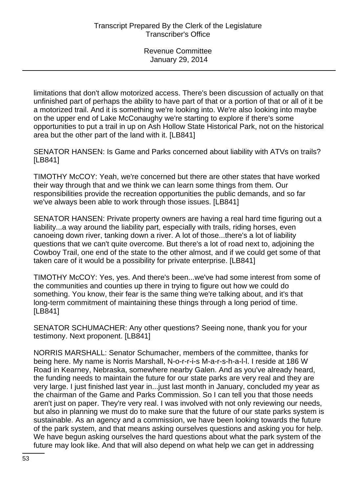limitations that don't allow motorized access. There's been discussion of actually on that unfinished part of perhaps the ability to have part of that or a portion of that or all of it be a motorized trail. And it is something we're looking into. We're also looking into maybe on the upper end of Lake McConaughy we're starting to explore if there's some opportunities to put a trail in up on Ash Hollow State Historical Park, not on the historical area but the other part of the land with it. [LB841]

SENATOR HANSEN: Is Game and Parks concerned about liability with ATVs on trails? [LB841]

TIMOTHY McCOY: Yeah, we're concerned but there are other states that have worked their way through that and we think we can learn some things from them. Our responsibilities provide the recreation opportunities the public demands, and so far we've always been able to work through those issues. [LB841]

SENATOR HANSEN: Private property owners are having a real hard time figuring out a liability...a way around the liability part, especially with trails, riding horses, even canoeing down river, tanking down a river. A lot of those...there's a lot of liability questions that we can't quite overcome. But there's a lot of road next to, adjoining the Cowboy Trail, one end of the state to the other almost, and if we could get some of that taken care of it would be a possibility for private enterprise. [LB841]

TIMOTHY McCOY: Yes, yes. And there's been...we've had some interest from some of the communities and counties up there in trying to figure out how we could do something. You know, their fear is the same thing we're talking about, and it's that long-term commitment of maintaining these things through a long period of time. [LB841]

SENATOR SCHUMACHER: Any other questions? Seeing none, thank you for your testimony. Next proponent. [LB841]

NORRIS MARSHALL: Senator Schumacher, members of the committee, thanks for being here. My name is Norris Marshall, N-o-r-r-i-s M-a-r-s-h-a-l-l. I reside at 186 W Road in Kearney, Nebraska, somewhere nearby Galen. And as you've already heard, the funding needs to maintain the future for our state parks are very real and they are very large. I just finished last year in...just last month in January, concluded my year as the chairman of the Game and Parks Commission. So I can tell you that those needs aren't just on paper. They're very real. I was involved with not only reviewing our needs, but also in planning we must do to make sure that the future of our state parks system is sustainable. As an agency and a commission, we have been looking towards the future of the park system, and that means asking ourselves questions and asking you for help. We have begun asking ourselves the hard questions about what the park system of the future may look like. And that will also depend on what help we can get in addressing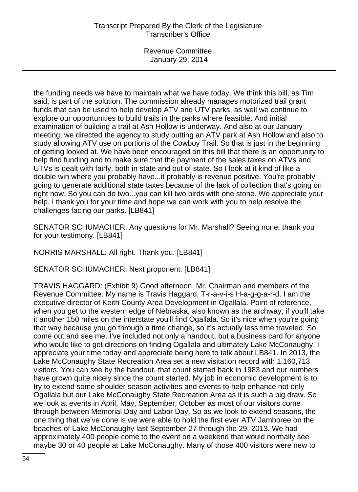Revenue Committee January 29, 2014

the funding needs we have to maintain what we have today. We think this bill, as Tim said, is part of the solution. The commission already manages motorized trail grant funds that can be used to help develop ATV and UTV parks, as well we continue to explore our opportunities to build trails in the parks where feasible. And initial examination of building a trail at Ash Hollow is underway. And also at our January meeting, we directed the agency to study putting an ATV park at Ash Hollow and also to study allowing ATV use on portions of the Cowboy Trail. So that is just in the beginning of getting looked at. We have been encouraged on this bill that there is an opportunity to help find funding and to make sure that the payment of the sales taxes on ATVs and UTVs is dealt with fairly, both in state and out of state. So I look at it kind of like a double win where you probably have...it probably is revenue positive. You're probably going to generate additional state taxes because of the lack of collection that's going on right now. So you can do two...you can kill two birds with one stone. We appreciate your help. I thank you for your time and hope we can work with you to help resolve the challenges facing our parks. [LB841]

SENATOR SCHUMACHER: Any questions for Mr. Marshall? Seeing none, thank you for your testimony. [LB841]

NORRIS MARSHALL: All right. Thank you. [LB841]

SENATOR SCHUMACHER: Next proponent. [LB841]

TRAVIS HAGGARD: (Exhibit 9) Good afternoon, Mr. Chairman and members of the Revenue Committee. My name is Travis Haggard, T-r-a-v-i-s H-a-g-g-a-r-d. I am the executive director of Keith County Area Development in Ogallala. Point of reference, when you get to the western edge of Nebraska, also known as the archway, if you'll take it another 150 miles on the interstate you'll find Ogallala. So it's nice when you're going that way because you go through a time change, so it's actually less time traveled. So come out and see me. I've included not only a handout, but a business card for anyone who would like to get directions on finding Ogallala and ultimately Lake McConaughy. I appreciate your time today and appreciate being here to talk about LB841. In 2013, the Lake McConaughy State Recreation Area set a new visitation record with 1,160,713 visitors. You can see by the handout, that count started back in 1983 and our numbers have grown quite nicely since the count started. My job in economic development is to try to extend some shoulder season activities and events to help enhance not only Ogallala but our Lake McConaughy State Recreation Area as it is such a big draw. So we look at events in April, May, September, October as most of our visitors come through between Memorial Day and Labor Day. So as we look to extend seasons, the one thing that we've done is we were able to hold the first ever ATV Jamboree on the beaches of Lake McConaughy last September 27 through the 29, 2013. We had approximately 400 people come to the event on a weekend that would normally see maybe 30 or 40 people at Lake McConaughy. Many of those 400 visitors were new to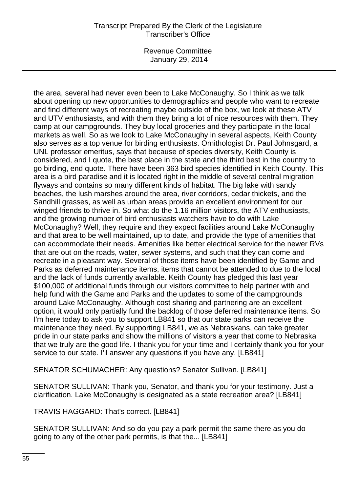Revenue Committee January 29, 2014

the area, several had never even been to Lake McConaughy. So I think as we talk about opening up new opportunities to demographics and people who want to recreate and find different ways of recreating maybe outside of the box, we look at these ATV and UTV enthusiasts, and with them they bring a lot of nice resources with them. They camp at our campgrounds. They buy local groceries and they participate in the local markets as well. So as we look to Lake McConaughy in several aspects, Keith County also serves as a top venue for birding enthusiasts. Ornithologist Dr. Paul Johnsgard, a UNL professor emeritus, says that because of species diversity, Keith County is considered, and I quote, the best place in the state and the third best in the country to go birding, end quote. There have been 363 bird species identified in Keith County. This area is a bird paradise and it is located right in the middle of several central migration flyways and contains so many different kinds of habitat. The big lake with sandy beaches, the lush marshes around the area, river corridors, cedar thickets, and the Sandhill grasses, as well as urban areas provide an excellent environment for our winged friends to thrive in. So what do the 1.16 million visitors, the ATV enthusiasts, and the growing number of bird enthusiasts watchers have to do with Lake McConaughy? Well, they require and they expect facilities around Lake McConaughy and that area to be well maintained, up to date, and provide the type of amenities that can accommodate their needs. Amenities like better electrical service for the newer RVs that are out on the roads, water, sewer systems, and such that they can come and recreate in a pleasant way. Several of those items have been identified by Game and Parks as deferred maintenance items, items that cannot be attended to due to the local and the lack of funds currently available. Keith County has pledged this last year \$100,000 of additional funds through our visitors committee to help partner with and help fund with the Game and Parks and the updates to some of the campgrounds around Lake McConaughy. Although cost sharing and partnering are an excellent option, it would only partially fund the backlog of those deferred maintenance items. So I'm here today to ask you to support LB841 so that our state parks can receive the maintenance they need. By supporting LB841, we as Nebraskans, can take greater pride in our state parks and show the millions of visitors a year that come to Nebraska that we truly are the good life. I thank you for your time and I certainly thank you for your service to our state. I'll answer any questions if you have any. [LB841]

SENATOR SCHUMACHER: Any questions? Senator Sullivan. [LB841]

SENATOR SULLIVAN: Thank you, Senator, and thank you for your testimony. Just a clarification. Lake McConaughy is designated as a state recreation area? [LB841]

TRAVIS HAGGARD: That's correct. [LB841]

SENATOR SULLIVAN: And so do you pay a park permit the same there as you do going to any of the other park permits, is that the... [LB841]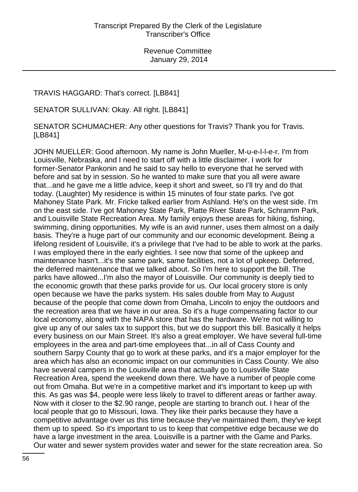TRAVIS HAGGARD: That's correct. [LB841]

SENATOR SULLIVAN: Okay. All right. [LB841]

SENATOR SCHUMACHER: Any other questions for Travis? Thank you for Travis. [LB841]

JOHN MUELLER: Good afternoon. My name is John Mueller, M-u-e-l-l-e-r. I'm from Louisville, Nebraska, and I need to start off with a little disclaimer. I work for former-Senator Pankonin and he said to say hello to everyone that he served with before and sat by in session. So he wanted to make sure that you all were aware that...and he gave me a little advice, keep it short and sweet, so I'll try and do that today. (Laughter) My residence is within 15 minutes of four state parks. I've got Mahoney State Park. Mr. Fricke talked earlier from Ashland. He's on the west side. I'm on the east side. I've got Mahoney State Park, Platte River State Park, Schramm Park, and Louisville State Recreation Area. My family enjoys these areas for hiking, fishing, swimming, dining opportunities. My wife is an avid runner, uses them almost on a daily basis. They're a huge part of our community and our economic development. Being a lifelong resident of Louisville, it's a privilege that I've had to be able to work at the parks. I was employed there in the early eighties. I see now that some of the upkeep and maintenance hasn't...it's the same park, same facilities, not a lot of upkeep. Deferred, the deferred maintenance that we talked about. So I'm here to support the bill. The parks have allowed...I'm also the mayor of Louisville. Our community is deeply tied to the economic growth that these parks provide for us. Our local grocery store is only open because we have the parks system. His sales double from May to August because of the people that come down from Omaha, Lincoln to enjoy the outdoors and the recreation area that we have in our area. So it's a huge compensating factor to our local economy, along with the NAPA store that has the hardware. We're not willing to give up any of our sales tax to support this, but we do support this bill. Basically it helps every business on our Main Street. It's also a great employer. We have several full-time employees in the area and part-time employees that...in all of Cass County and southern Sarpy County that go to work at these parks, and it's a major employer for the area which has also an economic impact on our communities in Cass County. We also have several campers in the Louisville area that actually go to Louisville State Recreation Area, spend the weekend down there. We have a number of people come out from Omaha. But we're in a competitive market and it's important to keep up with this. As gas was \$4, people were less likely to travel to different areas or farther away. Now with it closer to the \$2.90 range, people are starting to branch out. I hear of the local people that go to Missouri, Iowa. They like their parks because they have a competitive advantage over us this time because they've maintained them, they've kept them up to speed. So it's important to us to keep that competitive edge because we do have a large investment in the area. Louisville is a partner with the Game and Parks. Our water and sewer system provides water and sewer for the state recreation area. So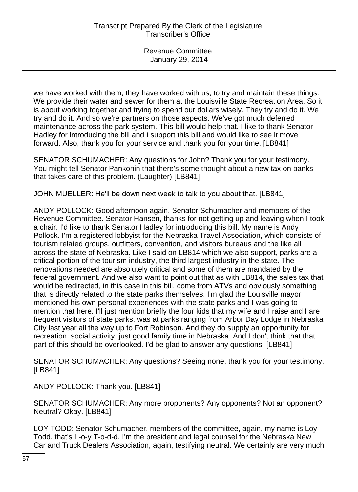we have worked with them, they have worked with us, to try and maintain these things. We provide their water and sewer for them at the Louisville State Recreation Area. So it is about working together and trying to spend our dollars wisely. They try and do it. We try and do it. And so we're partners on those aspects. We've got much deferred maintenance across the park system. This bill would help that. I like to thank Senator Hadley for introducing the bill and I support this bill and would like to see it move forward. Also, thank you for your service and thank you for your time. [LB841]

SENATOR SCHUMACHER: Any questions for John? Thank you for your testimony. You might tell Senator Pankonin that there's some thought about a new tax on banks that takes care of this problem. (Laughter) [LB841]

JOHN MUELLER: He'll be down next week to talk to you about that. [LB841]

ANDY POLLOCK: Good afternoon again, Senator Schumacher and members of the Revenue Committee. Senator Hansen, thanks for not getting up and leaving when I took a chair. I'd like to thank Senator Hadley for introducing this bill. My name is Andy Pollock. I'm a registered lobbyist for the Nebraska Travel Association, which consists of tourism related groups, outfitters, convention, and visitors bureaus and the like all across the state of Nebraska. Like I said on LB814 which we also support, parks are a critical portion of the tourism industry, the third largest industry in the state. The renovations needed are absolutely critical and some of them are mandated by the federal government. And we also want to point out that as with LB814, the sales tax that would be redirected, in this case in this bill, come from ATVs and obviously something that is directly related to the state parks themselves. I'm glad the Louisville mayor mentioned his own personal experiences with the state parks and I was going to mention that here. I'll just mention briefly the four kids that my wife and I raise and I are frequent visitors of state parks, was at parks ranging from Arbor Day Lodge in Nebraska City last year all the way up to Fort Robinson. And they do supply an opportunity for recreation, social activity, just good family time in Nebraska. And I don't think that that part of this should be overlooked. I'd be glad to answer any questions. [LB841]

SENATOR SCHUMACHER: Any questions? Seeing none, thank you for your testimony. [LB841]

ANDY POLLOCK: Thank you. [LB841]

SENATOR SCHUMACHER: Any more proponents? Any opponents? Not an opponent? Neutral? Okay. [LB841]

LOY TODD: Senator Schumacher, members of the committee, again, my name is Loy Todd, that's L-o-y T-o-d-d. I'm the president and legal counsel for the Nebraska New Car and Truck Dealers Association, again, testifying neutral. We certainly are very much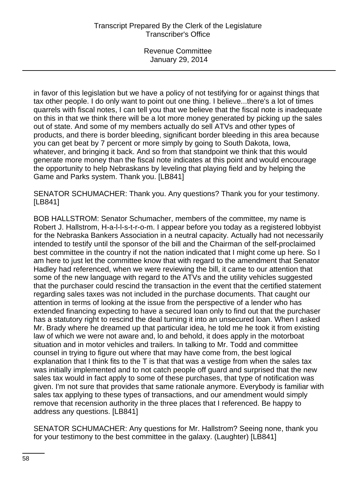in favor of this legislation but we have a policy of not testifying for or against things that tax other people. I do only want to point out one thing. I believe...there's a lot of times quarrels with fiscal notes, I can tell you that we believe that the fiscal note is inadequate on this in that we think there will be a lot more money generated by picking up the sales out of state. And some of my members actually do sell ATVs and other types of products, and there is border bleeding, significant border bleeding in this area because you can get beat by 7 percent or more simply by going to South Dakota, Iowa, whatever, and bringing it back. And so from that standpoint we think that this would generate more money than the fiscal note indicates at this point and would encourage the opportunity to help Nebraskans by leveling that playing field and by helping the Game and Parks system. Thank you. [LB841]

SENATOR SCHUMACHER: Thank you. Any questions? Thank you for your testimony. [LB841]

BOB HALLSTROM: Senator Schumacher, members of the committee, my name is Robert J. Hallstrom, H-a-l-l-s-t-r-o-m. I appear before you today as a registered lobbyist for the Nebraska Bankers Association in a neutral capacity. Actually had not necessarily intended to testify until the sponsor of the bill and the Chairman of the self-proclaimed best committee in the country if not the nation indicated that I might come up here. So I am here to just let the committee know that with regard to the amendment that Senator Hadley had referenced, when we were reviewing the bill, it came to our attention that some of the new language with regard to the ATVs and the utility vehicles suggested that the purchaser could rescind the transaction in the event that the certified statement regarding sales taxes was not included in the purchase documents. That caught our attention in terms of looking at the issue from the perspective of a lender who has extended financing expecting to have a secured loan only to find out that the purchaser has a statutory right to rescind the deal turning it into an unsecured loan. When I asked Mr. Brady where he dreamed up that particular idea, he told me he took it from existing law of which we were not aware and, lo and behold, it does apply in the motorboat situation and in motor vehicles and trailers. In talking to Mr. Todd and committee counsel in trying to figure out where that may have come from, the best logical explanation that I think fits to the T is that that was a vestige from when the sales tax was initially implemented and to not catch people off guard and surprised that the new sales tax would in fact apply to some of these purchases, that type of notification was given. I'm not sure that provides that same rationale anymore. Everybody is familiar with sales tax applying to these types of transactions, and our amendment would simply remove that recension authority in the three places that I referenced. Be happy to address any questions. [LB841]

SENATOR SCHUMACHER: Any questions for Mr. Hallstrom? Seeing none, thank you for your testimony to the best committee in the galaxy. (Laughter) [LB841]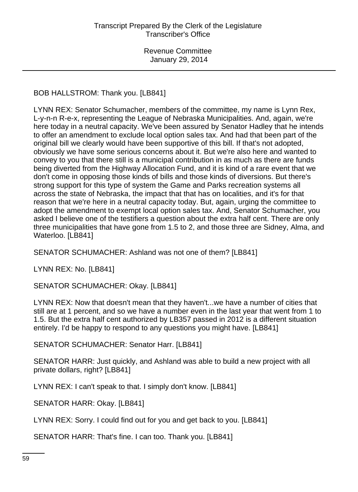BOB HALLSTROM: Thank you. [LB841]

LYNN REX: Senator Schumacher, members of the committee, my name is Lynn Rex, L-y-n-n R-e-x, representing the League of Nebraska Municipalities. And, again, we're here today in a neutral capacity. We've been assured by Senator Hadley that he intends to offer an amendment to exclude local option sales tax. And had that been part of the original bill we clearly would have been supportive of this bill. If that's not adopted, obviously we have some serious concerns about it. But we're also here and wanted to convey to you that there still is a municipal contribution in as much as there are funds being diverted from the Highway Allocation Fund, and it is kind of a rare event that we don't come in opposing those kinds of bills and those kinds of diversions. But there's strong support for this type of system the Game and Parks recreation systems all across the state of Nebraska, the impact that that has on localities, and it's for that reason that we're here in a neutral capacity today. But, again, urging the committee to adopt the amendment to exempt local option sales tax. And, Senator Schumacher, you asked I believe one of the testifiers a question about the extra half cent. There are only three municipalities that have gone from 1.5 to 2, and those three are Sidney, Alma, and Waterloo. [LB841]

SENATOR SCHUMACHER: Ashland was not one of them? [LB841]

LYNN REX: No. [LB841]

SENATOR SCHUMACHER: Okay. [LB841]

LYNN REX: Now that doesn't mean that they haven't...we have a number of cities that still are at 1 percent, and so we have a number even in the last year that went from 1 to 1.5. But the extra half cent authorized by LB357 passed in 2012 is a different situation entirely. I'd be happy to respond to any questions you might have. [LB841]

SENATOR SCHUMACHER: Senator Harr. [LB841]

SENATOR HARR: Just quickly, and Ashland was able to build a new project with all private dollars, right? [LB841]

LYNN REX: I can't speak to that. I simply don't know. [LB841]

SENATOR HARR: Okay. [LB841]

LYNN REX: Sorry. I could find out for you and get back to you. [LB841]

SENATOR HARR: That's fine. I can too. Thank you. [LB841]